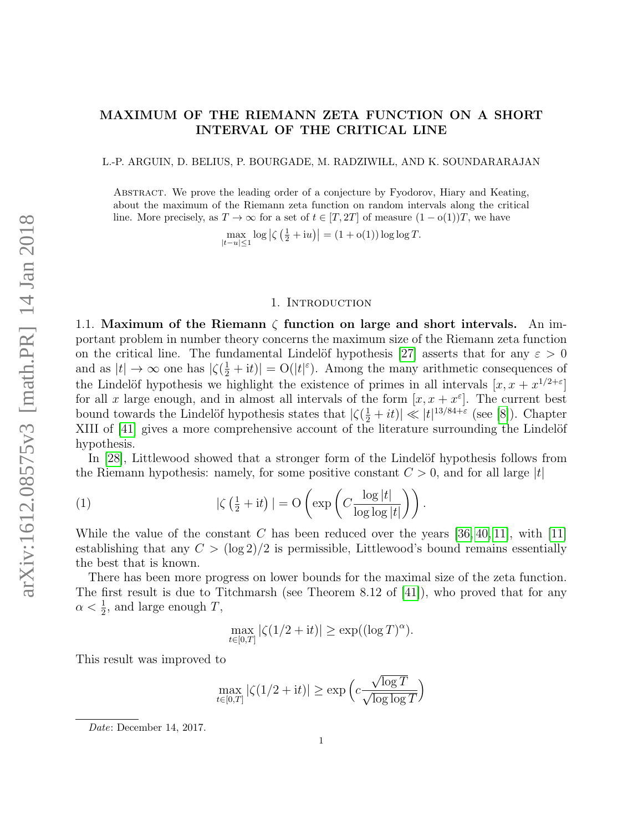# MAXIMUM OF THE RIEMANN ZETA FUNCTION ON A SHORT INTERVAL OF THE CRITICAL LINE

L.-P. ARGUIN, D. BELIUS, P. BOURGADE, M. RADZIWIŁL, AND K. SOUNDARARAJAN

Abstract. We prove the leading order of a conjecture by Fyodorov, Hiary and Keating, about the maximum of the Riemann zeta function on random intervals along the critical line. More precisely, as  $T \to \infty$  for a set of  $t \in [T, 2T]$  of measure  $(1 - o(1))T$ , we have

 $\max_{|t-u|\leq 1} \log |\zeta(\frac{1}{2}+iu)| = (1+\mathrm{o}(1)) \log \log T.$ 

### 1. Introduction

1.1. Maximum of the Riemann  $\zeta$  function on large and short intervals. An important problem in number theory concerns the maximum size of the Riemann zeta function on the critical line. The fundamental Lindelöf hypothesis [\[27\]](#page-27-0) asserts that for any  $\varepsilon > 0$ and as  $|t| \to \infty$  one has  $|\zeta(\frac{1}{2} + it)| = O(|t|^{\varepsilon})$ . Among the many arithmetic consequences of the Lindelöf hypothesis we highlight the existence of primes in all intervals  $[x, x + x^{1/2+\epsilon}]$ for all x large enough, and in almost all intervals of the form  $[x, x + x^{\varepsilon}]$ . The current best bound towards the Lindelöf hypothesis states that  $|\zeta(\frac{1}{2}+it)| \ll |t|^{13/84+\epsilon}$  (see [\[8\]](#page-26-0)). Chapter XIII of [\[41\]](#page-27-1) gives a more comprehensive account of the literature surrounding the Lindelöf hypothesis.

In  $[28]$ , Littlewood showed that a stronger form of the Lindelöf hypothesis follows from the Riemann hypothesis: namely, for some positive constant  $C > 0$ , and for all large |t|

(1) 
$$
|\zeta(\frac{1}{2} + it)| = O\left(\exp\left(C\frac{\log|t|}{\log\log|t|}\right)\right).
$$

While the value of the constant C has been reduced over the years  $[36, 40, 11]$  $[36, 40, 11]$  $[36, 40, 11]$ , with  $[11]$ establishing that any  $C > (\log 2)/2$  is permissible, Littlewood's bound remains essentially the best that is known.

There has been more progress on lower bounds for the maximal size of the zeta function. The first result is due to Titchmarsh (see Theorem 8.12 of [\[41\]](#page-27-1)), who proved that for any  $\alpha < \frac{1}{2}$ , and large enough T,

<span id="page-0-0"></span>
$$
\max_{t \in [0,T]} |\zeta(1/2 + it)| \ge \exp((\log T)^{\alpha}).
$$

This result was improved to

$$
\max_{t \in [0,T]} |\zeta(1/2 + it)| \ge \exp\left(c \frac{\sqrt{\log T}}{\sqrt{\log \log T}}\right)
$$

Date: December 14, 2017.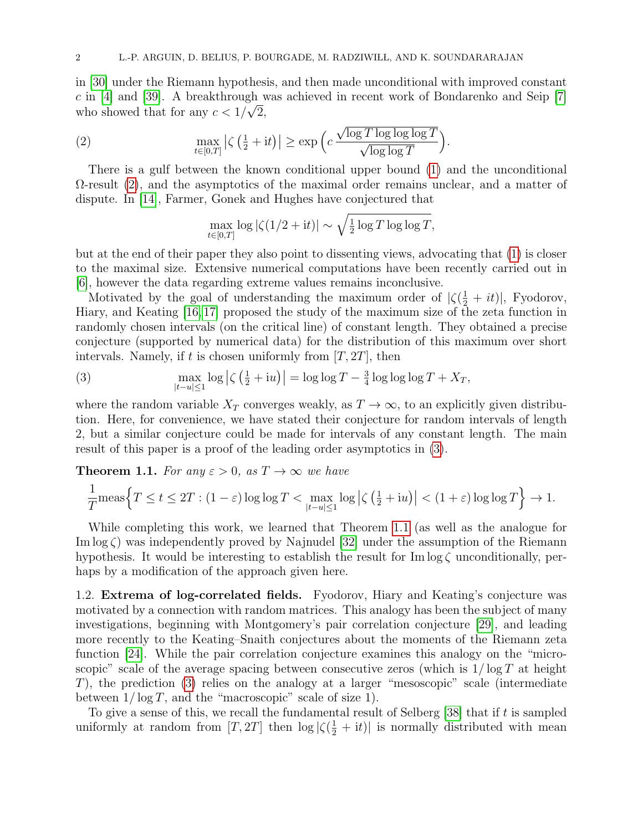in [\[30\]](#page-27-5) under the Riemann hypothesis, and then made unconditional with improved constant c in [\[4\]](#page-26-2) and [\[39\]](#page-27-6). A breakthrough was achieved in recent work of Bondarenko and Seip [\[7\]](#page-26-3) who showed that for any  $c < 1/\sqrt{2}$ ,

(2) 
$$
\max_{t \in [0,T]} |\zeta(\tfrac{1}{2} + it)| \ge \exp\Big(c \frac{\sqrt{\log T \log \log \log T}}{\sqrt{\log \log T}}\Big).
$$

There is a gulf between the known conditional upper bound [\(1\)](#page-0-0) and the unconditional  $\Omega$ -result [\(2\)](#page-1-0), and the asymptotics of the maximal order remains unclear, and a matter of dispute. In [\[14\]](#page-26-4), Farmer, Gonek and Hughes have conjectured that

<span id="page-1-0"></span>
$$
\max_{t \in [0,T]} \log |\zeta(1/2 + it)| \sim \sqrt{\frac{1}{2} \log T \log \log T},
$$

but at the end of their paper they also point to dissenting views, advocating that [\(1\)](#page-0-0) is closer to the maximal size. Extensive numerical computations have been recently carried out in [\[6\]](#page-26-5), however the data regarding extreme values remains inconclusive.

Motivated by the goal of understanding the maximum order of  $|\zeta(\frac{1}{2} + it)|$ , Fyodorov, Hiary, and Keating [\[16,](#page-26-6) [17\]](#page-26-7) proposed the study of the maximum size of the zeta function in randomly chosen intervals (on the critical line) of constant length. They obtained a precise conjecture (supported by numerical data) for the distribution of this maximum over short intervals. Namely, if t is chosen uniformly from  $[T, 2T]$ , then

<span id="page-1-1"></span>(3) 
$$
\max_{|t-u|\leq 1} \log \left|\zeta\left(\frac{1}{2}+iu\right)\right| = \log \log T - \frac{3}{4} \log \log \log T + X_T,
$$

where the random variable  $X_T$  converges weakly, as  $T \to \infty$ , to an explicitly given distribution. Here, for convenience, we have stated their conjecture for random intervals of length 2, but a similar conjecture could be made for intervals of any constant length. The main result of this paper is a proof of the leading order asymptotics in [\(3\)](#page-1-1).

<span id="page-1-2"></span>**Theorem 1.1.** For any  $\varepsilon > 0$ , as  $T \to \infty$  we have

$$
\frac{1}{T} \text{meas}\Big\{T \le t \le 2T : (1 - \varepsilon) \log \log T < \max_{|t-u| \le 1} \log \left|\zeta\left(\frac{1}{2} + iu\right)\right| < (1 + \varepsilon) \log \log T\Big\} \to 1.
$$

While completing this work, we learned that Theorem [1.1](#page-1-2) (as well as the analogue for Im  $\log \zeta$ ) was independently proved by Najnudel [\[32\]](#page-27-7) under the assumption of the Riemann hypothesis. It would be interesting to establish the result for  $\text{Im} \log \zeta$  unconditionally, perhaps by a modification of the approach given here.

1.2. Extrema of log-correlated fields. Fyodorov, Hiary and Keating's conjecture was motivated by a connection with random matrices. This analogy has been the subject of many investigations, beginning with Montgomery's pair correlation conjecture [\[29\]](#page-27-8), and leading more recently to the Keating–Snaith conjectures about the moments of the Riemann zeta function [\[24\]](#page-26-8). While the pair correlation conjecture examines this analogy on the "microscopic" scale of the average spacing between consecutive zeros (which is  $1/\log T$  at height T), the prediction [\(3\)](#page-1-1) relies on the analogy at a larger "mesoscopic" scale (intermediate between  $1/\log T$ , and the "macroscopic" scale of size 1).

To give a sense of this, we recall the fundamental result of Selberg  $[38]$  that if t is sampled uniformly at random from  $[T, 2T]$  then  $\log |\zeta(\frac{1}{2} + it)|$  is normally distributed with mean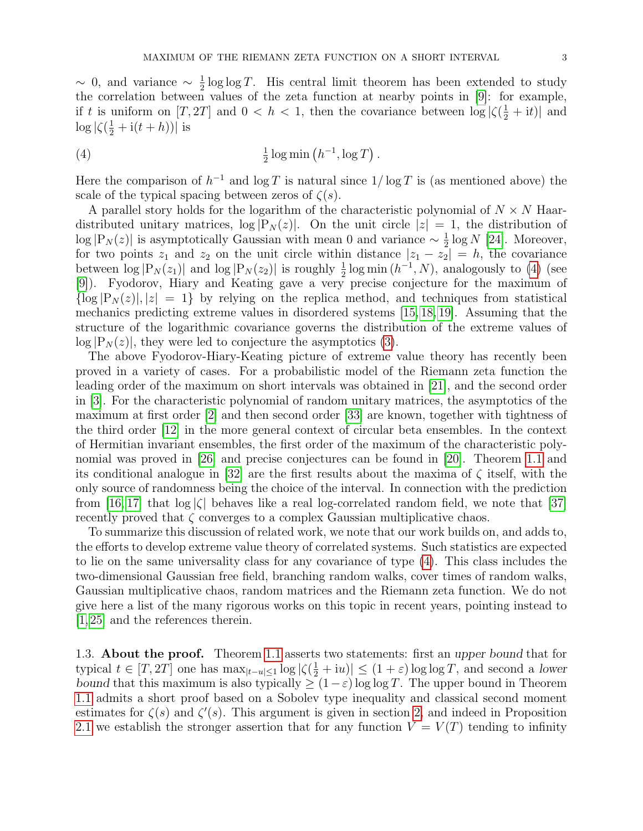$\sim$  0, and variance  $\sim \frac{1}{2}$  $\frac{1}{2}$  log log T. His central limit theorem has been extended to study the correlation between values of the zeta function at nearby points in [\[9\]](#page-26-9): for example, if t is uniform on  $[T, 2T]$  and  $0 < h < 1$ , then the covariance between  $\log |\zeta(\frac{1}{2} + it)|$  and  $\log |\zeta(\frac{1}{2} + i(t+h))|$  is

<span id="page-2-0"></span>(4) 
$$
\frac{1}{2}\log\min\left(h^{-1},\log T\right).
$$

Here the comparison of  $h^{-1}$  and  $\log T$  is natural since  $1/\log T$  is (as mentioned above) the scale of the typical spacing between zeros of  $\zeta(s)$ .

A parallel story holds for the logarithm of the characteristic polynomial of  $N \times N$  Haardistributed unitary matrices,  $\log |P_N(z)|$ . On the unit circle  $|z|=1$ , the distribution of  $\log |P_N(z)|$  is asymptotically Gaussian with mean 0 and variance  $\sim \frac{1}{2}$  $\frac{1}{2}$  log N [\[24\]](#page-26-8). Moreover, for two points  $z_1$  and  $z_2$  on the unit circle within distance  $|z_1 - z_2| = h$ , the covariance between  $\log |P_N(z_1)|$  and  $\log |P_N(z_2)|$  is roughly  $\frac{1}{2} \log \min (h^{-1}, N)$ , analogously to [\(4\)](#page-2-0) (see [\[9\]](#page-26-9)). Fyodorov, Hiary and Keating gave a very precise conjecture for the maximum of  $\{\log |P_N(z)|, |z| = 1\}$  by relying on the replica method, and techniques from statistical mechanics predicting extreme values in disordered systems [\[15,](#page-26-10) [18,](#page-26-11) [19\]](#page-26-12). Assuming that the structure of the logarithmic covariance governs the distribution of the extreme values of  $\log |P_N(z)|$ , they were led to conjecture the asymptotics [\(3\)](#page-1-1).

The above Fyodorov-Hiary-Keating picture of extreme value theory has recently been proved in a variety of cases. For a probabilistic model of the Riemann zeta function the leading order of the maximum on short intervals was obtained in [\[21\]](#page-26-13), and the second order in [\[3\]](#page-26-14). For the characteristic polynomial of random unitary matrices, the asymptotics of the maximum at first order [\[2\]](#page-26-15) and then second order [\[33\]](#page-27-10) are known, together with tightness of the third order [\[12\]](#page-26-16) in the more general context of circular beta ensembles. In the context of Hermitian invariant ensembles, the first order of the maximum of the characteristic polynomial was proved in [\[26\]](#page-27-11) and precise conjectures can be found in [\[20\]](#page-26-17). Theorem [1.1](#page-1-2) and its conditional analogue in [\[32\]](#page-27-7) are the first results about the maxima of  $\zeta$  itself, with the only source of randomness being the choice of the interval. In connection with the prediction from [\[16,](#page-26-6) [17\]](#page-26-7) that  $\log |\zeta|$  behaves like a real log-correlated random field, we note that [\[37\]](#page-27-12) recently proved that  $\zeta$  converges to a complex Gaussian multiplicative chaos.

To summarize this discussion of related work, we note that our work builds on, and adds to, the efforts to develop extreme value theory of correlated systems. Such statistics are expected to lie on the same universality class for any covariance of type [\(4\)](#page-2-0). This class includes the two-dimensional Gaussian free field, branching random walks, cover times of random walks, Gaussian multiplicative chaos, random matrices and the Riemann zeta function. We do not give here a list of the many rigorous works on this topic in recent years, pointing instead to [\[1,](#page-26-18) [25\]](#page-26-19) and the references therein.

1.3. **About the proof.** Theorem [1.1](#page-1-2) asserts two statements: first an upper bound that for typical  $t \in [T, 2T]$  one has  $\max_{|t-u| \leq 1} \log |\zeta(\frac{1}{2} + iu)| \leq (1 + \varepsilon) \log \log T$ , and second a lower bound that this maximum is also typically  $\geq (1-\varepsilon) \log \log T$ . The upper bound in Theorem [1.1](#page-1-2) admits a short proof based on a Sobolev type inequality and classical second moment estimates for  $\zeta(s)$  and  $\zeta'(s)$ . This argument is given in section [2,](#page-6-0) and indeed in Proposition [2.1](#page-6-1) we establish the stronger assertion that for any function  $V = V(T)$  tending to infinity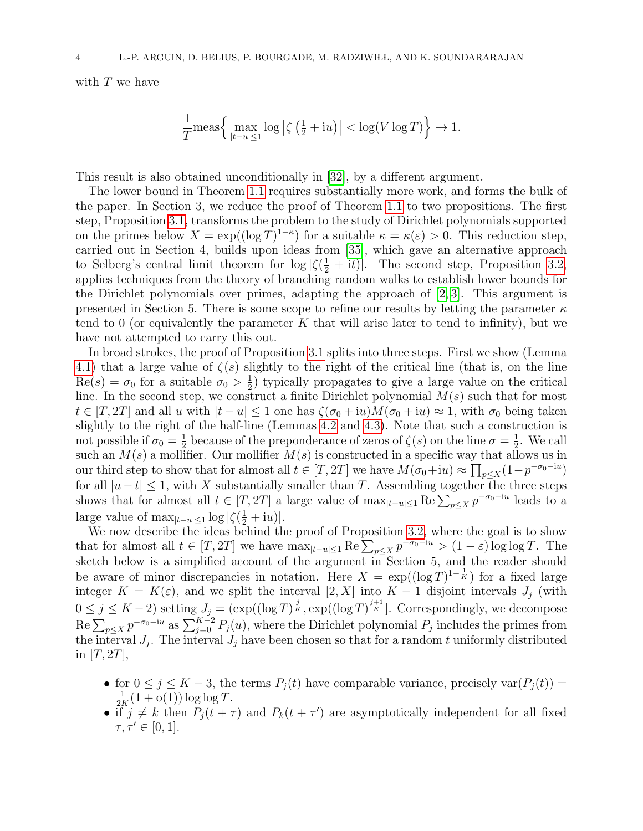with  $T$  we have

$$
\frac{1}{T} \mathrm{meas}\Big\{ \max_{|t-u|\leq 1} \log \big|\zeta\left(\tfrac{1}{2} + \mathrm{i} u\right)\big| < \log(V \log T) \Big\} \to 1.
$$

This result is also obtained unconditionally in [\[32\]](#page-27-7), by a different argument.

The lower bound in Theorem [1.1](#page-1-2) requires substantially more work, and forms the bulk of the paper. In Section 3, we reduce the proof of Theorem [1.1](#page-1-2) to two propositions. The first step, Proposition [3.1,](#page-8-0) transforms the problem to the study of Dirichlet polynomials supported on the primes below  $X = \exp((\log T)^{1-\kappa})$  for a suitable  $\kappa = \kappa(\varepsilon) > 0$ . This reduction step, carried out in Section 4, builds upon ideas from [\[35\]](#page-27-13), which gave an alternative approach to Selberg's central limit theorem for  $\log |\zeta(\frac{1}{2} + it)|$ . The second step, Proposition [3.2,](#page-8-1) applies techniques from the theory of branching random walks to establish lower bounds for the Dirichlet polynomials over primes, adapting the approach of [\[2,](#page-26-15) [3\]](#page-26-14). This argument is presented in Section 5. There is some scope to refine our results by letting the parameter  $\kappa$ tend to 0 (or equivalently the parameter K that will arise later to tend to infinity), but we have not attempted to carry this out.

In broad strokes, the proof of Proposition [3.1](#page-8-0) splits into three steps. First we show (Lemma [4.1\)](#page-10-0) that a large value of  $\zeta(s)$  slightly to the right of the critical line (that is, on the line  $\text{Re}(s) = \sigma_0$  for a suitable  $\sigma_0 > \frac{1}{2}$  $\frac{1}{2}$ ) typically propagates to give a large value on the critical line. In the second step, we construct a finite Dirichlet polynomial  $M(s)$  such that for most  $t \in [T, 2T]$  and all u with  $|t - u| \leq 1$  one has  $\zeta(\sigma_0 + iu)M(\sigma_0 + iu) \approx 1$ , with  $\sigma_0$  being taken slightly to the right of the half-line (Lemmas [4.2](#page-11-0) and [4.3\)](#page-13-0). Note that such a construction is not possible if  $\sigma_0 = \frac{1}{2}$  $\frac{1}{2}$  because of the preponderance of zeros of  $\zeta(s)$  on the line  $\sigma = \frac{1}{2}$  $\frac{1}{2}$ . We call such an  $M(s)$  a mollifier. Our mollifier  $M(s)$  is constructed in a specific way that allows us in our third step to show that for almost all  $t \in [T, 2T]$  we have  $M(\sigma_0 + iu) \approx \prod_{p \le X} (1 - p^{-\sigma_0 - iu})$ for all  $|u-t| \leq 1$ , with X substantially smaller than T. Assembling together the three steps shows that for almost all  $t \in [T, 2T]$  a large value of  $\max_{|t-u| \leq 1} \text{Re} \sum_{p \leq X} p^{-\sigma_0 - iu}$  leads to a large value of  $\max_{|t-u|\leq 1} \log |\zeta(\frac{1}{2}+iu)|$ .

We now describe the ideas behind the proof of Proposition [3.2,](#page-8-1) where the goal is to show that for almost all  $t \in [T, 2T]$  we have  $\max_{|t-u| \leq 1} \text{Re} \sum_{p \leq X} p^{-\sigma_0 - iu} > (1 - \varepsilon) \log \log T$ . The sketch below is a simplified account of the argument in Section 5, and the reader should be aware of minor discrepancies in notation. Here  $X = \exp((\log T)^{1-\frac{1}{K}})$  for a fixed large integer  $K = K(\varepsilon)$ , and we split the interval  $[2, X]$  into  $K - 1$  disjoint intervals  $J_i$  (with  $0 \le j \le K-2$ ) setting  $J_j = (\exp((\log T)^{\frac{j}{K}}, \exp((\log T)^{\frac{j+1}{K}}])$ . Correspondingly, we decompose  $\text{Re}\sum_{p\leq X}p^{-\sigma_0-iu}$  as  $\sum_{j=0}^{K-2}P_j(u)$ , where the Dirichlet polynomial  $P_j$  includes the primes from the interval  $J_j$ . The interval  $J_j$  have been chosen so that for a random t uniformly distributed in  $|T, 2T|$ ,

- for  $0 \le j \le K 3$ , the terms  $P_j(t)$  have comparable variance, precisely  $var(P_j(t)) =$  $\frac{1}{K}(1 + o(1)) \log \log T$ .
- if  $j \neq k$  then  $P_j(t + \tau)$  and  $P_k(t + \tau')$  are asymptotically independent for all fixed  $\tau, \tau' \in [0, 1].$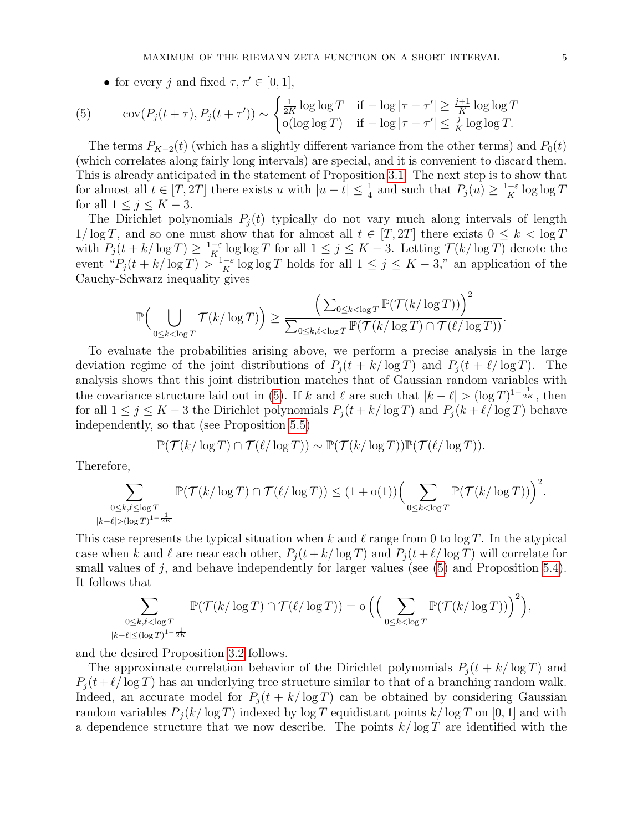<span id="page-4-0"></span>• for every j and fixed  $\tau, \tau' \in [0, 1],$ 

(5) 
$$
\text{cov}(P_j(t+\tau), P_j(t+\tau')) \sim \begin{cases} \frac{1}{2K} \log \log T & \text{if } -\log |\tau - \tau'| \geq \frac{j+1}{K} \log \log T\\ \text{o}(\log \log T) & \text{if } -\log |\tau - \tau'| \leq \frac{j}{K} \log \log T. \end{cases}
$$

The terms  $P_{K-2}(t)$  (which has a slightly different variance from the other terms) and  $P_0(t)$ (which correlates along fairly long intervals) are special, and it is convenient to discard them. This is already anticipated in the statement of Proposition [3.1.](#page-8-0) The next step is to show that for almost all  $t \in [T, 2T]$  there exists u with  $|u - t| \leq \frac{1}{4}$  and such that  $P_i(u) \geq \frac{1 - \varepsilon}{K}$  $\frac{-\varepsilon}{K} \log \log T$ for all  $1 \leq j \leq K-3$ .

The Dirichlet polynomials  $P_i(t)$  typically do not vary much along intervals of length  $1/\log T$ , and so one must show that for almost all  $t \in [T, 2T]$  there exists  $0 \leq k < \log T$ with  $P_j(t + k/\log T) \geq \frac{1-\varepsilon}{K}$  $\frac{-\varepsilon}{K}$  log log T for all  $1 \leq j \leq K-3$ . Letting  $\mathcal{T}(k/\log T)$  denote the event " $P_j(t + k/\log T) > \frac{1-\varepsilon}{K}$  $\frac{-\varepsilon}{K}$  log log T holds for all  $1 \leq j \leq K - 3$ ," an application of the Cauchy-Schwarz inequality gives

$$
\mathbb{P}\Big(\bigcup_{0\leq k<\log T}\mathcal{T}(k/\log T)\Big)\geq \frac{\Big(\sum_{0\leq k<\log T}\mathbb{P}(\mathcal{T}(k/\log T))\Big)^2}{\sum_{0\leq k,\ell<\log T}\mathbb{P}(\mathcal{T}(k/\log T)\cap \mathcal{T}(\ell/\log T))}.
$$

To evaluate the probabilities arising above, we perform a precise analysis in the large deviation regime of the joint distributions of  $P_i(t + k/\log T)$  and  $P_i(t + \ell/\log T)$ . The analysis shows that this joint distribution matches that of Gaussian random variables with the covariance structure laid out in [\(5\)](#page-4-0). If k and  $\ell$  are such that  $|k - \ell| > (\log T)^{1-\frac{1}{2K}}$ , then for all  $1 \le j \le K - 3$  the Dirichlet polynomials  $P_i(t + k/\log T)$  and  $P_i(k + \ell/\log T)$  behave independently, so that (see Proposition [5.5\)](#page-22-0)

$$
\mathbb{P}(\mathcal{T}(k/\log T) \cap \mathcal{T}(\ell/\log T)) \sim \mathbb{P}(\mathcal{T}(k/\log T))\mathbb{P}(\mathcal{T}(\ell/\log T)).
$$

Therefore,

$$
\sum_{\substack{0\leq k,\ell\leq \log T\\ |k-\ell|>(\log T)^{1-\frac{1}{2K}}}} \mathbb{P}(\mathcal{T}(k/\log T)\cap \mathcal{T}(\ell/\log T))\leq (1+\operatorname{o}(1))\Big(\sum_{0\leq k< \log T} \mathbb{P}(\mathcal{T}(k/\log T))\Big)^2.
$$

This case represents the typical situation when k and l range from 0 to log T. In the atypical case when k and l are near each other,  $P_j (t + k/\log T)$  and  $P_j (t + \ell/\log T)$  will correlate for small values of  $j$ , and behave independently for larger values (see  $(5)$  and Proposition [5.4\)](#page-21-0). It follows that

$$
\sum_{\substack{0 \leq k,\ell < \log T \\ |k-\ell| \leq (\log T)^{1-\frac{1}{2K}}}} \mathbb{P}(\mathcal{T}(k/\log T) \cap \mathcal{T}(\ell/\log T)) = o\left(\Big(\sum_{0 \leq k < \log T} \mathbb{P}(\mathcal{T}(k/\log T))\Big)^2\right),
$$

and the desired Proposition [3.2](#page-8-1) follows.

The approximate correlation behavior of the Dirichlet polynomials  $P_i(t + k/\log T)$  and  $P_i(t+\ell/\log T)$  has an underlying tree structure similar to that of a branching random walk. Indeed, an accurate model for  $P_i(t + k/\log T)$  can be obtained by considering Gaussian random variables  $P_i(k/\log T)$  indexed by log T equidistant points  $k/\log T$  on [0, 1] and with a dependence structure that we now describe. The points  $k/\log T$  are identified with the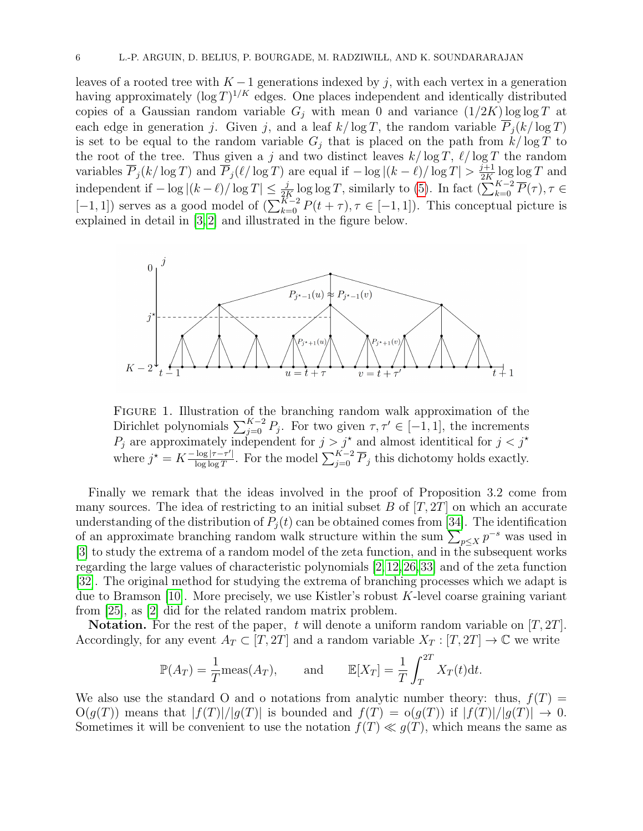leaves of a rooted tree with  $K-1$  generations indexed by j, with each vertex in a generation having approximately  $(\log T)^{1/K}$  edges. One places independent and identically distributed copies of a Gaussian random variable  $G_j$  with mean 0 and variance  $(1/2K) \log \log T$  at each edge in generation j. Given j, and a leaf  $k/\log T$ , the random variable  $\overline{P}_i(k/\log T)$ is set to be equal to the random variable  $G_i$  that is placed on the path from  $k/\log T$  to the root of the tree. Thus given a j and two distinct leaves  $k/\log T$ ,  $\ell/\log T$  the random variables  $\overline{P}_j(k/\log T)$  and  $\overline{P}_j(\ell/\log T)$  are equal if  $-\log|(k-\ell)/\log T| > \frac{j+1}{2K}$  $\frac{p+1}{2K} \log \log T$  and independent if  $-\log|(k-\ell)/\log T| \leq \frac{j}{2K} \log \log T$ , similarly to [\(5\)](#page-4-0). In fact  $(\sum_{k=0}^{K-2} \overline{P}(\tau), \tau \in$  $[-1, 1]$ ) serves as a good model of  $\left(\sum_{k=0}^{K-2} P(t+\tau), \tau \in [-1, 1]\right)$ . This conceptual picture is explained in detail in [\[3,](#page-26-14) [2\]](#page-26-15) and illustrated in the figure below.



Figure 1. Illustration of the branching random walk approximation of the Dirichlet polynomials  $\sum_{j=0}^{K-2} P_j$ . For two given  $\tau, \tau' \in [-1, 1]$ , the increments  $P_j$  are approximately independent for  $j > j^*$  and almost identitical for  $j < j^*$ where  $j^* = K \frac{-\log |\tau - \tau'|}{\log \log T}$  $\frac{\log |\tau-\tau'|}{\log \log T}$ . For the model  $\sum_{j=0}^{K-2} \overline{P}_j$  this dichotomy holds exactly.

Finally we remark that the ideas involved in the proof of Proposition 3.2 come from many sources. The idea of restricting to an initial subset  $B$  of  $[T, 2T]$  on which an accurate understanding of the distribution of  $P_j(t)$  can be obtained comes from [\[34\]](#page-27-14). The identification of an approximate branching random walk structure within the sum  $\sum_{p \leq X} p^{-s}$  was used in [\[3\]](#page-26-14) to study the extrema of a random model of the zeta function, and in the subsequent works regarding the large values of characteristic polynomials [\[2,](#page-26-15)[12,](#page-26-16)[26,](#page-27-11)[33\]](#page-27-10) and of the zeta function [\[32\]](#page-27-7). The original method for studying the extrema of branching processes which we adapt is due to Bramson  $[10]$ . More precisely, we use Kistler's robust K-level coarse graining variant from [\[25\]](#page-26-19), as [\[2\]](#page-26-15) did for the related random matrix problem.

**Notation.** For the rest of the paper, t will denote a uniform random variable on  $[T, 2T]$ . Accordingly, for any event  $A_T \subset [T, 2T]$  and a random variable  $X_T : [T, 2T] \to \mathbb{C}$  we write

$$
\mathbb{P}(A_T) = \frac{1}{T} \text{meas}(A_T), \quad \text{and} \quad \mathbb{E}[X_T] = \frac{1}{T} \int_T^{2T} X_T(t) dt.
$$

We also use the standard O and o notations from analytic number theory: thus,  $f(T)$  =  $O(g(T))$  means that  $|f(T)|/|g(T)|$  is bounded and  $f(T) = o(g(T))$  if  $|f(T)|/|g(T)| \to 0$ . Sometimes it will be convenient to use the notation  $f(T) \ll q(T)$ , which means the same as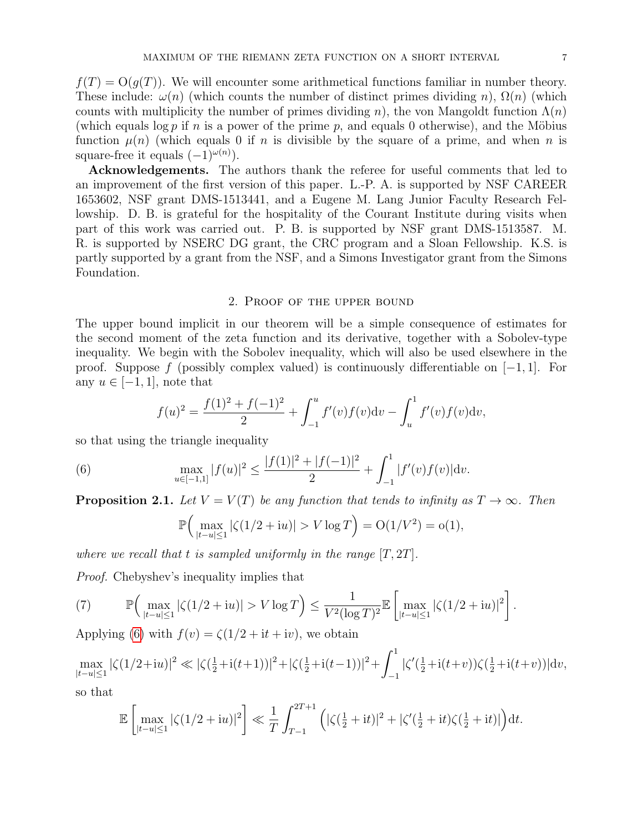$f(T) = O(q(T))$ . We will encounter some arithmetical functions familiar in number theory. These include:  $\omega(n)$  (which counts the number of distinct primes dividing n),  $\Omega(n)$  (which counts with multiplicity the number of primes dividing n), the von Mangoldt function  $\Lambda(n)$ (which equals log p if n is a power of the prime p, and equals 0 otherwise), and the Möbius function  $\mu(n)$  (which equals 0 if n is divisible by the square of a prime, and when n is square-free it equals  $(-1)^{\omega(n)}$ .

Acknowledgements. The authors thank the referee for useful comments that led to an improvement of the first version of this paper. L.-P. A. is supported by NSF CAREER 1653602, NSF grant DMS-1513441, and a Eugene M. Lang Junior Faculty Research Fellowship. D. B. is grateful for the hospitality of the Courant Institute during visits when part of this work was carried out. P. B. is supported by NSF grant DMS-1513587. M. R. is supported by NSERC DG grant, the CRC program and a Sloan Fellowship. K.S. is partly supported by a grant from the NSF, and a Simons Investigator grant from the Simons Foundation.

### 2. Proof of the upper bound

<span id="page-6-0"></span>The upper bound implicit in our theorem will be a simple consequence of estimates for the second moment of the zeta function and its derivative, together with a Sobolev-type inequality. We begin with the Sobolev inequality, which will also be used elsewhere in the proof. Suppose f (possibly complex valued) is continuously differentiable on  $[-1, 1]$ . For any  $u \in [-1, 1]$ , note that

$$
f(u)^{2} = \frac{f(1)^{2} + f(-1)^{2}}{2} + \int_{-1}^{u} f'(v) f(v) \mathrm{d}v - \int_{u}^{1} f'(v) f(v) \mathrm{d}v,
$$

so that using the triangle inequality

(6) 
$$
\max_{u \in [-1,1]} |f(u)|^2 \le \frac{|f(1)|^2 + |f(-1)|^2}{2} + \int_{-1}^1 |f'(v)f(v)| \mathrm{d}v.
$$

<span id="page-6-1"></span>**Proposition 2.1.** Let  $V = V(T)$  be any function that tends to infinity as  $T \to \infty$ . Then

<span id="page-6-2"></span>
$$
\mathbb{P}\Big(\max_{|t-u| \le 1} |\zeta(1/2 + iu)| > V \log T\Big) = O(1/V^2) = o(1),
$$

where we recall that t is sampled uniformly in the range  $[T, 2T]$ .

Proof. Chebyshev's inequality implies that

<span id="page-6-3"></span>(7) 
$$
\mathbb{P}\Big(\max_{|t-u| \le 1} |\zeta(1/2+iu)| > V \log T\Big) \le \frac{1}{V^2(\log T)^2} \mathbb{E}\left[\max_{|t-u| \le 1} |\zeta(1/2+iu)|^2\right].
$$

Applying [\(6\)](#page-6-2) with  $f(v) = \zeta(1/2 + it + iv)$ , we obtain

 $\max_{|t-u|\leq 1} |\zeta(1/2+{\rm i}u)|^2 \ll |\zeta(\frac{1}{2}+{\rm i}(t+1))|^2 + |\zeta(\frac{1}{2}+{\rm i}(t-1))|^2 + \int_{-1}^1$ −1  $|\zeta'(\frac{1}{2} + i(t+v))\zeta(\frac{1}{2} + i(t+v))|dv,$ 

so that

$$
\mathbb{E}\left[\max_{|t-u|\leq 1} |\zeta(1/2+iu)|^2\right] \ll \frac{1}{T} \int_{T-1}^{2T+1} \left(|\zeta(\tfrac{1}{2}+it)|^2 + |\zeta'(\tfrac{1}{2}+it)\zeta(\tfrac{1}{2}+it)|\right) dt.
$$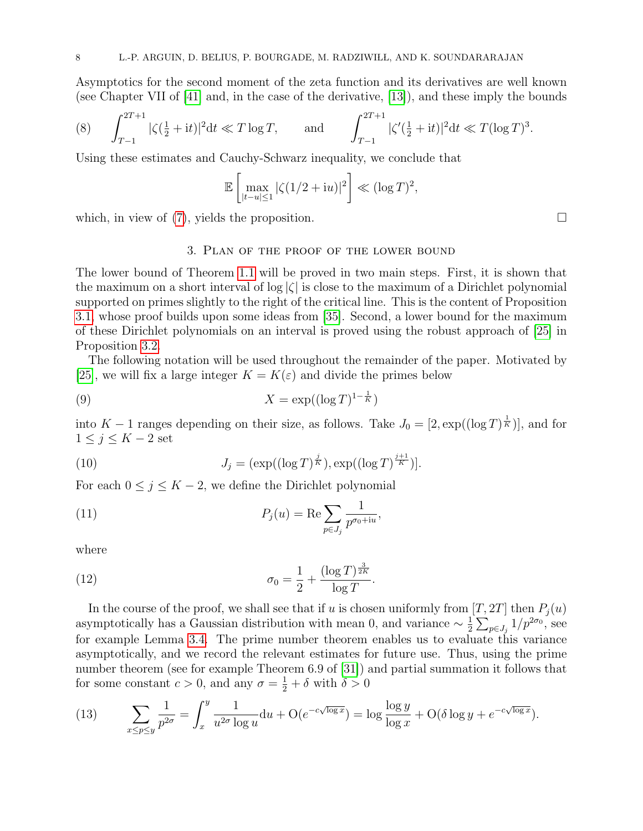Asymptotics for the second moment of the zeta function and its derivatives are well known (see Chapter VII of [\[41\]](#page-27-1) and, in the case of the derivative, [\[13\]](#page-26-21)), and these imply the bounds

<span id="page-7-0"></span>(8) 
$$
\int_{T-1}^{2T+1} |\zeta(\frac{1}{2} + it)|^2 dt \ll T \log T, \quad \text{and} \quad \int_{T-1}^{2T+1} |\zeta'(\frac{1}{2} + it)|^2 dt \ll T (\log T)^3.
$$

Using these estimates and Cauchy-Schwarz inequality, we conclude that

$$
\mathbb{E}\left[\max_{|t-u|\leq 1} |\zeta(1/2+iu)|^2\right] \ll (\log T)^2,
$$

which, in view of  $(7)$ , yields the proposition.

## <span id="page-7-1"></span>3. Plan of the proof of the lower bound

The lower bound of Theorem [1.1](#page-1-2) will be proved in two main steps. First, it is shown that the maximum on a short interval of  $|\zeta|$  is close to the maximum of a Dirichlet polynomial supported on primes slightly to the right of the critical line. This is the content of Proposition [3.1,](#page-8-0) whose proof builds upon some ideas from [\[35\]](#page-27-13). Second, a lower bound for the maximum of these Dirichlet polynomials on an interval is proved using the robust approach of [\[25\]](#page-26-19) in Proposition [3.2.](#page-8-1)

The following notation will be used throughout the remainder of the paper. Motivated by [\[25\]](#page-26-19), we will fix a large integer  $K = K(\varepsilon)$  and divide the primes below

$$
(9) \t\t X = \exp((\log T)^{1-\frac{1}{K}})
$$

into  $K-1$  ranges depending on their size, as follows. Take  $J_0 = [2, \exp((\log T)^{\frac{1}{K}})]$ , and for  $1 \leq j \leq K-2$  set

(10) 
$$
J_j = (\exp((\log T)^{\frac{j}{K}}), \exp((\log T)^{\frac{j+1}{K}})].
$$

For each  $0 \le j \le K - 2$ , we define the Dirichlet polynomial

<span id="page-7-2"></span>(11) 
$$
P_j(u) = \text{Re} \sum_{p \in J_j} \frac{1}{p^{\sigma_0 + iu}},
$$

where

<span id="page-7-3"></span>(12) 
$$
\sigma_0 = \frac{1}{2} + \frac{(\log T)^{\frac{3}{2K}}}{\log T}.
$$

In the course of the proof, we shall see that if u is chosen uniformly from  $[T, 2T]$  then  $P_i(u)$ asymptotically has a Gaussian distribution with mean 0, and variance  $\sim \frac{1}{2}$  $\frac{1}{2} \sum_{p \in J_j} 1/p^{2\sigma_0}$ , see for example Lemma [3.4.](#page-9-0) The prime number theorem enables us to evaluate this variance asymptotically, and we record the relevant estimates for future use. Thus, using the prime number theorem (see for example Theorem 6.9 of [\[31\]](#page-27-15)) and partial summation it follows that for some constant  $c > 0$ , and any  $\sigma = \frac{1}{2} + \delta$  with  $\delta > 0$ 

(13) 
$$
\sum_{x \le p \le y} \frac{1}{p^{2\sigma}} = \int_x^y \frac{1}{u^{2\sigma} \log u} du + \mathcal{O}(e^{-c\sqrt{\log x}}) = \log \frac{\log y}{\log x} + \mathcal{O}(\delta \log y + e^{-c\sqrt{\log x}}).
$$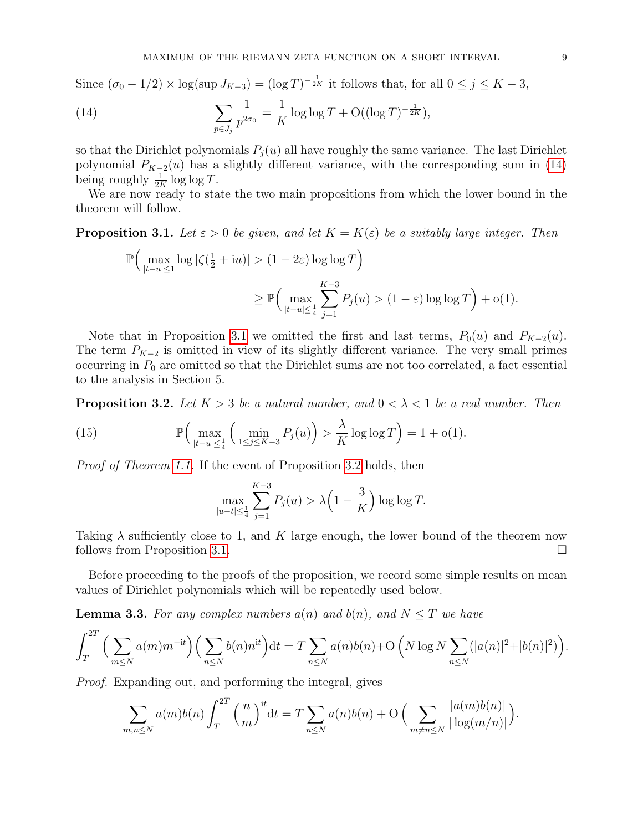Since  $(\sigma_0 - 1/2) \times \log(\sup J_{K-3}) = (\log T)^{-\frac{1}{2K}}$  it follows that, for all  $0 \le j \le K-3$ ,

<span id="page-8-2"></span>(14) 
$$
\sum_{p \in J_j} \frac{1}{p^{2\sigma_0}} = \frac{1}{K} \log \log T + O((\log T)^{-\frac{1}{2K}}),
$$

so that the Dirichlet polynomials  $P_i(u)$  all have roughly the same variance. The last Dirichlet polynomial  $P_{K-2}(u)$  has a slightly different variance, with the corresponding sum in [\(14\)](#page-8-2) being roughly  $\frac{1}{2K} \log \log T$ .

We are now ready to state the two main propositions from which the lower bound in the theorem will follow.

<span id="page-8-0"></span>**Proposition 3.1.** Let  $\varepsilon > 0$  be given, and let  $K = K(\varepsilon)$  be a suitably large integer. Then

$$
\mathbb{P}\Big(\max_{|t-u|\leq 1} \log |\zeta(\frac{1}{2}+iu)| > (1-2\varepsilon)\log\log T\Big)
$$
  

$$
\geq \mathbb{P}\Big(\max_{|t-u|\leq \frac{1}{4}} \sum_{j=1}^{K-3} P_j(u) > (1-\varepsilon)\log\log T\Big) + o(1).
$$

Note that in Proposition [3.1](#page-8-0) we omitted the first and last terms,  $P_0(u)$  and  $P_{K-2}(u)$ . The term  $P_{K-2}$  is omitted in view of its slightly different variance. The very small primes occurring in  $P_0$  are omitted so that the Dirichlet sums are not too correlated, a fact essential to the analysis in Section 5.

<span id="page-8-1"></span>**Proposition 3.2.** Let  $K > 3$  be a natural number, and  $0 < \lambda < 1$  be a real number. Then

(15) 
$$
\mathbb{P}\Big(\max_{|t-u|\leq \frac{1}{4}}\Big(\min_{1\leq j\leq K-3}P_j(u)\Big) > \frac{\lambda}{K}\log\log T\Big) = 1 + o(1).
$$

Proof of Theorem [1.1.](#page-1-2) If the event of Proposition [3.2](#page-8-1) holds, then

$$
\max_{|u-t| \le \frac{1}{4}} \sum_{j=1}^{K-3} P_j(u) > \lambda \left(1 - \frac{3}{K}\right) \log \log T.
$$

Taking  $\lambda$  sufficiently close to 1, and K large enough, the lower bound of the theorem now follows from Proposition [3.1.](#page-8-0)

Before proceeding to the proofs of the proposition, we record some simple results on mean values of Dirichlet polynomials which will be repeatedly used below.

<span id="page-8-3"></span>**Lemma 3.3.** For any complex numbers  $a(n)$  and  $b(n)$ , and  $N \leq T$  we have

$$
\int_T^{2T} \Big( \sum_{m \le N} a(m) m^{-it} \Big) \Big( \sum_{n \le N} b(n) n^{it} \Big) dt = T \sum_{n \le N} a(n) b(n) + O\left(N \log N \sum_{n \le N} (|a(n)|^2 + |b(n)|^2)\right).
$$

Proof. Expanding out, and performing the integral, gives

$$
\sum_{m,n\leq N} a(m)b(n) \int_T^{2T} \left(\frac{n}{m}\right)^{\text{it}} \text{d}t = T \sum_{n\leq N} a(n)b(n) + \mathcal{O}\left(\sum_{m\neq n\leq N} \frac{|a(m)b(n)|}{|\log(m/n)|}\right).
$$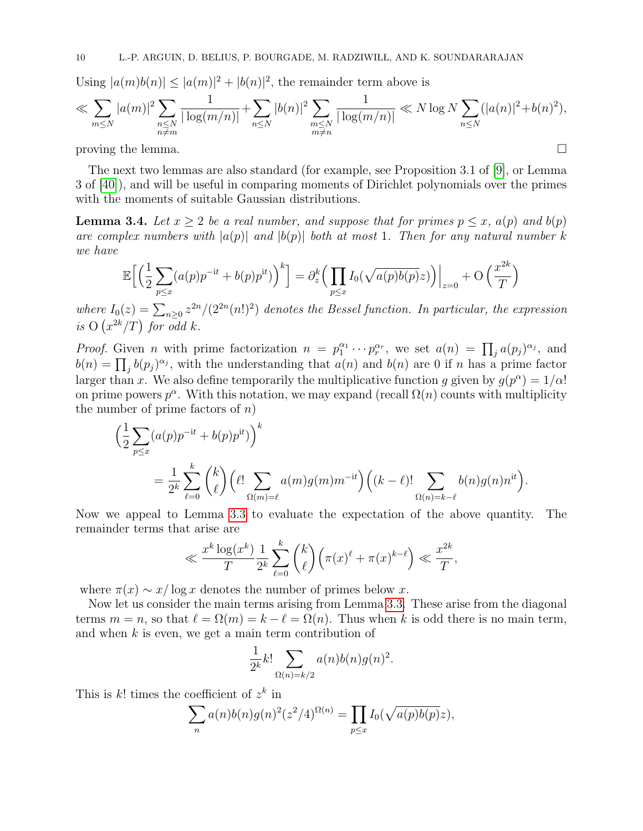Using  $|a(m)b(n)| \leq |a(m)|^2 + |b(n)|^2$ , the remainder term above is

$$
\ll \sum_{m \leq N} |a(m)|^2 \sum_{\substack{n \leq N \\ n \neq m}} \frac{1}{|\log(m/n)|} + \sum_{n \leq N} |b(n)|^2 \sum_{\substack{m \leq N \\ m \neq n}} \frac{1}{|\log(m/n)|} \ll N \log N \sum_{n \leq N} (|a(n)|^2 + b(n)^2),
$$

proving the lemma.  $\Box$ 

The next two lemmas are also standard (for example, see Proposition 3.1 of [\[9\]](#page-26-9), or Lemma 3 of [\[40\]](#page-27-4)), and will be useful in comparing moments of Dirichlet polynomials over the primes with the moments of suitable Gaussian distributions.

<span id="page-9-0"></span>**Lemma 3.4.** Let  $x > 2$  be a real number, and suppose that for primes  $p \leq x$ ,  $a(p)$  and  $b(p)$ are complex numbers with  $|a(p)|$  and  $|b(p)|$  both at most 1. Then for any natural number k we have

$$
\mathbb{E}\Big[\Big(\frac{1}{2}\sum_{p\leq x}(a(p)p^{-it}+b(p)p^{it})\Big)^k\Big] = \partial_z^k \Big(\prod_{p\leq x}I_0(\sqrt{a(p)b(p)}z)\Big)\Big|_{z=0} + \mathcal{O}\Big(\frac{x^{2k}}{T}\Big)
$$

where  $I_0(z) = \sum_{n\geq 0} z^{2n}/(2^{2n}(n!)^2)$  denotes the Bessel function. In particular, the expression is  $O(x^{2k}/T)$  for odd k.

*Proof.* Given *n* with prime factorization  $n = p_1^{\alpha_1} \cdots p_r^{\alpha_r}$ , we set  $a(n) = \prod_j a(p_j)^{\alpha_j}$ , and  $b(n) = \prod_j b(p_j)^{\alpha_j}$ , with the understanding that  $a(n)$  and  $b(n)$  are 0 if n has a prime factor larger than x. We also define temporarily the multiplicative function g given by  $g(p^{\alpha}) = 1/\alpha!$ on prime powers  $p^{\alpha}$ . With this notation, we may expand (recall  $\Omega(n)$  counts with multiplicity the number of prime factors of  $n$ )

$$
\left(\frac{1}{2}\sum_{p\leq x}(a(p)p^{-it}+b(p)p^{it})\right)^k
$$
  
= 
$$
\frac{1}{2^k}\sum_{\ell=0}^k {k \choose \ell} \left(\ell! \sum_{\Omega(m)=\ell} a(m)g(m)m^{-it}\right) \left((k-\ell)! \sum_{\Omega(n)=k-\ell} b(n)g(n)n^{it}\right).
$$

Now we appeal to Lemma [3.3](#page-8-3) to evaluate the expectation of the above quantity. The remainder terms that arise are

$$
\ll \frac{x^k \log(x^k)}{T} \frac{1}{2^k} \sum_{\ell=0}^k \binom{k}{\ell} \left(\pi(x)^{\ell} + \pi(x)^{k-\ell}\right) \ll \frac{x^{2k}}{T},
$$

where  $\pi(x) \sim x/\log x$  denotes the number of primes below x.

Now let us consider the main terms arising from Lemma [3.3.](#page-8-3) These arise from the diagonal terms  $m = n$ , so that  $\ell = \Omega(m) = k - \ell = \Omega(n)$ . Thus when k is odd there is no main term, and when  $k$  is even, we get a main term contribution of

$$
\frac{1}{2^k}k!\sum_{\Omega(n)=k/2}a(n)b(n)g(n)^2.
$$

This is  $k!$  times the coefficient of  $z^k$  in

$$
\sum_{n} a(n)b(n)g(n)^{2}(z^{2}/4)^{\Omega(n)} = \prod_{p \leq x} I_{0}(\sqrt{a(p)b(p)}z),
$$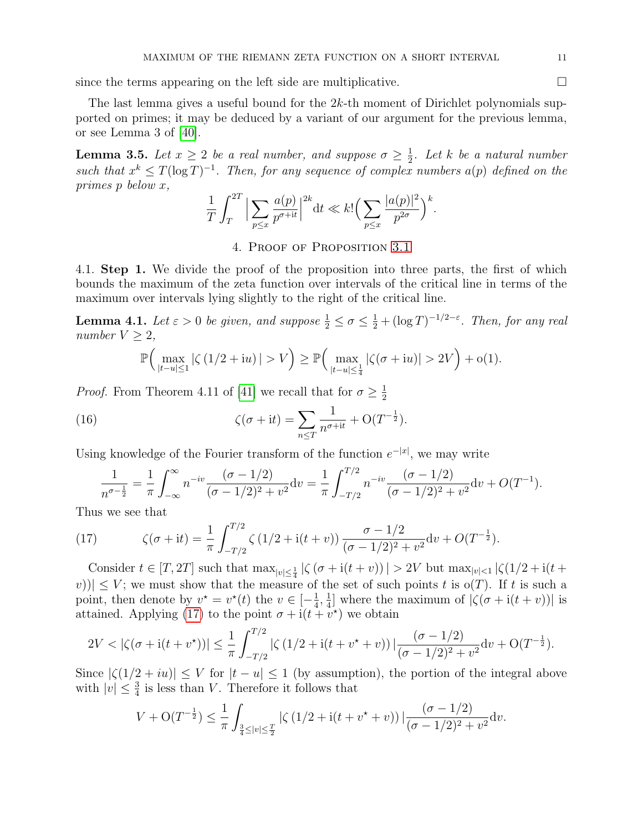since the terms appearing on the left side are multiplicative.  $\Box$ 

The last lemma gives a useful bound for the 2k-th moment of Dirichlet polynomials supported on primes; it may be deduced by a variant of our argument for the previous lemma, or see Lemma 3 of [\[40\]](#page-27-4).

<span id="page-10-3"></span>**Lemma 3.5.** Let  $x \geq 2$  be a real number, and suppose  $\sigma \geq \frac{1}{2}$  $\frac{1}{2}$ . Let k be a natural number such that  $x^k \leq T(\log T)^{-1}$ . Then, for any sequence of complex numbers  $a(p)$  defined on the primes p below x,

$$
\frac{1}{T} \int_{T}^{2T} \Big| \sum_{p \le x} \frac{a(p)}{p^{\sigma+it}} \Big|^{2k} dt \ll k! \Big( \sum_{p \le x} \frac{|a(p)|^2}{p^{2\sigma}} \Big)^k.
$$

4. Proof of Proposition [3.1](#page-8-0)

4.1. Step 1. We divide the proof of the proposition into three parts, the first of which bounds the maximum of the zeta function over intervals of the critical line in terms of the maximum over intervals lying slightly to the right of the critical line.

<span id="page-10-0"></span>**Lemma 4.1.** Let  $\varepsilon > 0$  be given, and suppose  $\frac{1}{2} \le \sigma \le \frac{1}{2} + (\log T)^{-1/2-\varepsilon}$ . Then, for any real number  $V \geq 2$ ,

<span id="page-10-2"></span>
$$
\mathbb{P}\Big(\max_{|t-u|\leq 1} |\zeta(1/2+iu)| > V\Big) \geq \mathbb{P}\Big(\max_{|t-u|\leq \frac{1}{4}} |\zeta(\sigma+iu)| > 2V\Big) + o(1).
$$

*Proof.* From Theorem 4.11 of [\[41\]](#page-27-1) we recall that for  $\sigma \geq \frac{1}{2}$ 2

(16) 
$$
\zeta(\sigma + it) = \sum_{n \leq T} \frac{1}{n^{\sigma + it}} + O(T^{-\frac{1}{2}}).
$$

Using knowledge of the Fourier transform of the function  $e^{-|x|}$ , we may write

$$
\frac{1}{n^{\sigma-\frac{1}{2}}} = \frac{1}{\pi} \int_{-\infty}^{\infty} n^{-iv} \frac{(\sigma - 1/2)}{(\sigma - 1/2)^2 + v^2} dv = \frac{1}{\pi} \int_{-T/2}^{T/2} n^{-iv} \frac{(\sigma - 1/2)}{(\sigma - 1/2)^2 + v^2} dv + O(T^{-1}).
$$

Thus we see that

<span id="page-10-1"></span>(17) 
$$
\zeta(\sigma + it) = \frac{1}{\pi} \int_{-T/2}^{T/2} \zeta(1/2 + i(t+v)) \frac{\sigma - 1/2}{(\sigma - 1/2)^2 + v^2} dv + O(T^{-\frac{1}{2}}).
$$

Consider  $t \in [T, 2T]$  such that  $\max_{|v| \leq \frac{1}{4}} |\zeta(\sigma + i(t+v))| > 2V$  but  $\max_{|v| \leq 1} |\zeta(1/2 + i(t+1))|$ v))|  $\leq$  V; we must show that the measure of the set of such points t is  $o(T)$ . If t is such a point, then denote by  $v^* = v^*(t)$  the  $v \in [-\frac{1}{4}]$  $\frac{1}{4}, \frac{1}{4}$  $\frac{1}{4}$ ] where the maximum of  $|\zeta(\sigma + i(t + v))|$  is attained. Applying [\(17\)](#page-10-1) to the point  $\sigma + i(t + v^*)$  we obtain

$$
2V < |\zeta(\sigma + i(t + v^*))| \le \frac{1}{\pi} \int_{-T/2}^{T/2} |\zeta(1/2 + i(t + v^* + v))| \frac{(\sigma - 1/2)}{(\sigma - 1/2)^2 + v^2} dv + O(T^{-\frac{1}{2}}).
$$

Since  $|\zeta(1/2 + iu)| \leq V$  for  $|t - u| \leq 1$  (by assumption), the portion of the integral above with  $|v| \leq \frac{3}{4}$  is less than V. Therefore it follows that

$$
V + \mathcal{O}(T^{-\frac{1}{2}}) \le \frac{1}{\pi} \int_{\frac{3}{4} \le |v| \le \frac{T}{2}} |\zeta(1/2 + i(t + v^* + v))| \frac{(\sigma - 1/2)}{(\sigma - 1/2)^2 + v^2} dv.
$$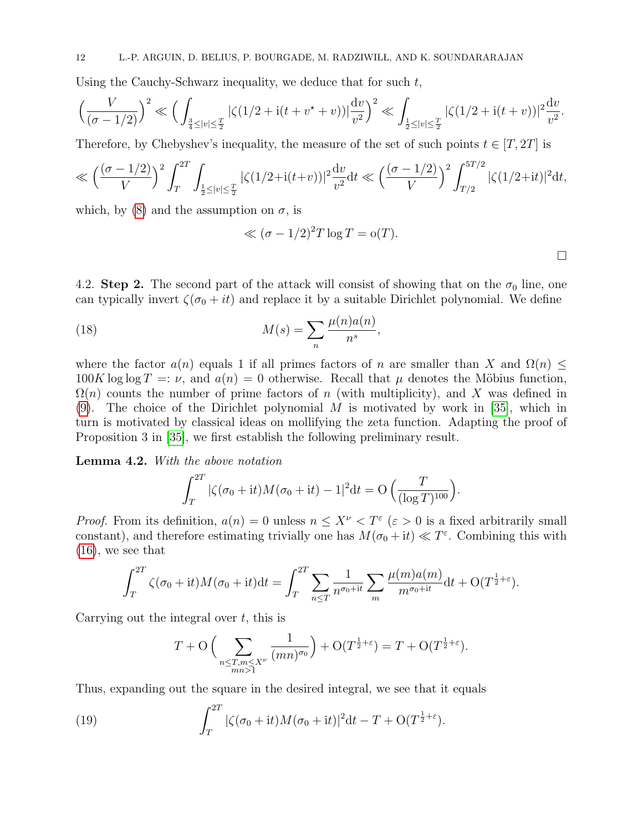Using the Cauchy-Schwarz inequality, we deduce that for such  $t$ ,

$$
\left(\frac{V}{(\sigma - 1/2)}\right)^2 \ll \left(\int_{\frac{3}{4} \leq |v| \leq \frac{T}{2}} |\zeta(1/2 + i(t + v^* + v))| \frac{dv}{v^2}\right)^2 \ll \int_{\frac{1}{2} \leq |v| \leq \frac{T}{2}} |\zeta(1/2 + i(t + v))|^2 \frac{dv}{v^2}.
$$

Therefore, by Chebyshev's inequality, the measure of the set of such points  $t \in [T, 2T]$  is

$$
\ll \left(\frac{(\sigma - 1/2)}{V}\right)^2 \int_T^{2T} \int_{\frac{1}{2} \le |v| \le \frac{T}{2}} |\zeta(1/2 + i(t+v))|^2 \frac{dv}{v^2} dt \ll \left(\frac{(\sigma - 1/2)}{V}\right)^2 \int_{T/2}^{5T/2} |\zeta(1/2 + it)|^2 dt,
$$

which, by [\(8\)](#page-7-0) and the assumption on  $\sigma$ , is

$$
\ll (\sigma - 1/2)^2 T \log T = o(T).
$$

4.2. Step 2. The second part of the attack will consist of showing that on the  $\sigma_0$  line, one can typically invert  $\zeta(\sigma_0 + it)$  and replace it by a suitable Dirichlet polynomial. We define

(18) 
$$
M(s) = \sum_{n} \frac{\mu(n)a(n)}{n^s},
$$

where the factor  $a(n)$  equals 1 if all primes factors of n are smaller than X and  $\Omega(n)$  <  $100K \log \log T =: \nu$ , and  $a(n) = 0$  otherwise. Recall that  $\mu$  denotes the Möbius function,  $\Omega(n)$  counts the number of prime factors of n (with multiplicity), and X was defined in  $(9)$ . The choice of the Dirichlet polynomial M is motivated by work in [\[35\]](#page-27-13), which in turn is motivated by classical ideas on mollifying the zeta function. Adapting the proof of Proposition 3 in [\[35\]](#page-27-13), we first establish the following preliminary result.

<span id="page-11-0"></span>Lemma 4.2. With the above notation

$$
\int_{T}^{2T} |\zeta(\sigma_0 + it)M(\sigma_0 + it) - 1|^2 dt = O\left(\frac{T}{(\log T)^{100}}\right).
$$

*Proof.* From its definition,  $a(n) = 0$  unless  $n \leq X^{\nu} < T^{\varepsilon}$  ( $\varepsilon > 0$  is a fixed arbitrarily small constant), and therefore estimating trivially one has  $M(\sigma_0 + it) \ll T^{\varepsilon}$ . Combining this with  $(16)$ , we see that

$$
\int_T^{2T} \zeta(\sigma_0 + it) M(\sigma_0 + it) dt = \int_T^{2T} \sum_{n \le T} \frac{1}{n^{\sigma_0 + it}} \sum_m \frac{\mu(m) a(m)}{m^{\sigma_0 + it}} dt + O(T^{\frac{1}{2} + \varepsilon}).
$$

Carrying out the integral over  $t$ , this is

<span id="page-11-1"></span>
$$
T + \mathcal{O}\left(\sum_{\substack{n \le T, m \le X^{\nu} \\ mn > 1}} \frac{1}{(mn)^{\sigma_0}}\right) + \mathcal{O}(T^{\frac{1}{2} + \varepsilon}) = T + \mathcal{O}(T^{\frac{1}{2} + \varepsilon}).
$$

Thus, expanding out the square in the desired integral, we see that it equals

(19) 
$$
\int_{T}^{2T} |\zeta(\sigma_0 + it)M(\sigma_0 + it)|^2 dt - T + O(T^{\frac{1}{2} + \varepsilon}).
$$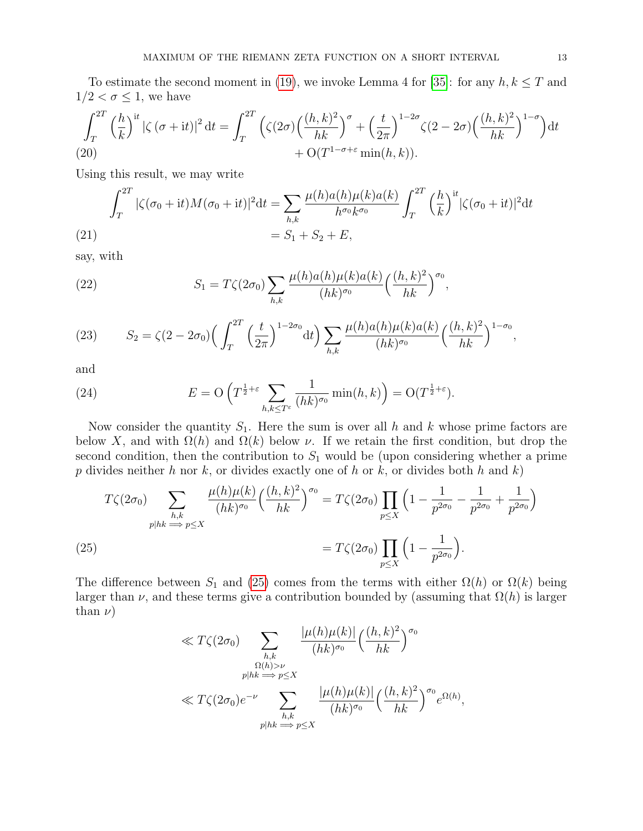To estimate the second moment in [\(19\)](#page-11-1), we invoke Lemma 4 for [\[35\]](#page-27-13): for any  $h, k \leq T$  and  $1/2 < \sigma \leq 1$ , we have

$$
\int_{T}^{2T} \left(\frac{h}{k}\right)^{it} \left|\zeta\left(\sigma+it\right)\right|^{2} dt = \int_{T}^{2T} \left(\zeta(2\sigma) \left(\frac{(h,k)^{2}}{hk}\right)^{\sigma} + \left(\frac{t}{2\pi}\right)^{1-2\sigma} \zeta(2-2\sigma) \left(\frac{(h,k)^{2}}{hk}\right)^{1-\sigma}\right) dt + O(T^{1-\sigma+\varepsilon} \min(h,k)).
$$

Using this result, we may write

$$
\int_{T}^{2T} |\zeta(\sigma_{0} + it)M(\sigma_{0} + it)|^{2} dt = \sum_{h,k} \frac{\mu(h)a(h)\mu(k)a(k)}{h^{\sigma_{0}}k^{\sigma_{0}}} \int_{T}^{2T} \left(\frac{h}{k}\right)^{it} |\zeta(\sigma_{0} + it)|^{2} dt
$$
  
(21)  

$$
= S_{1} + S_{2} + E,
$$

<span id="page-12-1"></span>say, with

(22) 
$$
S_1 = T\zeta(2\sigma_0) \sum_{h,k} \frac{\mu(h)a(h)\mu(k)a(k)}{(hk)^{\sigma_0}} \left(\frac{(h,k)^2}{hk}\right)^{\sigma_0},
$$

(23) 
$$
S_2 = \zeta(2 - 2\sigma_0) \left( \int_T^{2T} \left( \frac{t}{2\pi} \right)^{1-2\sigma_0} dt \right) \sum_{h,k} \frac{\mu(h)a(h)\mu(k)a(k)}{(hk)^{\sigma_0}} \left( \frac{(h,k)^2}{hk} \right)^{1-\sigma_0},
$$

and

(24) 
$$
E = \mathcal{O}\left(T^{\frac{1}{2}+\varepsilon} \sum_{h,k \leq T^{\varepsilon}} \frac{1}{(hk)^{\sigma_0}} \min(h,k)\right) = \mathcal{O}(T^{\frac{1}{2}+\varepsilon}).
$$

Now consider the quantity  $S_1$ . Here the sum is over all h and k whose prime factors are below X, and with  $\Omega(h)$  and  $\Omega(k)$  below  $\nu$ . If we retain the first condition, but drop the second condition, then the contribution to  $S_1$  would be (upon considering whether a prime p divides neither h nor k, or divides exactly one of h or k, or divides both h and k)

(25)  
\n
$$
T\zeta(2\sigma_0) \sum_{\substack{h,k \ m \to p \le X}} \frac{\mu(h)\mu(k)}{(hk)^{\sigma_0}} \left(\frac{(h,k)^2}{hk}\right)^{\sigma_0} = T\zeta(2\sigma_0) \prod_{p \le X} \left(1 - \frac{1}{p^{2\sigma_0}} - \frac{1}{p^{2\sigma_0}} + \frac{1}{p^{2\sigma_0}}\right)
$$
\n
$$
= T\zeta(2\sigma_0) \prod_{p \le X} \left(1 - \frac{1}{p^{2\sigma_0}}\right).
$$

<span id="page-12-0"></span>The difference between  $S_1$  and [\(25\)](#page-12-0) comes from the terms with either  $\Omega(h)$  or  $\Omega(k)$  being larger than  $\nu$ , and these terms give a contribution bounded by (assuming that  $\Omega(h)$ ) is larger than  $\nu$ )

$$
\ll T\zeta(2\sigma_0) \sum_{\substack{h,k\\ \Omega(h) > \nu\\ p|hk \implies p \le X}} \frac{|\mu(h)\mu(k)|}{(hk)^{\sigma_0}} \left(\frac{(h,k)^2}{hk}\right)^{\sigma_0}
$$

$$
\ll T\zeta(2\sigma_0)e^{-\nu} \sum_{\substack{h,k\\ p|hk \implies p \le X}} \frac{|\mu(h)\mu(k)|}{(hk)^{\sigma_0}} \left(\frac{(h,k)^2}{hk}\right)^{\sigma_0} e^{\Omega(h)},
$$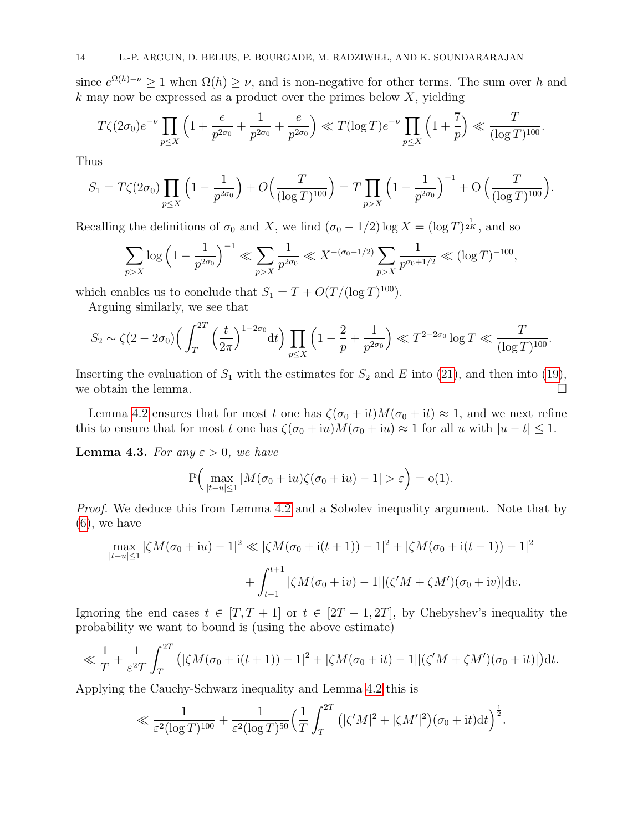since  $e^{\Omega(h)-\nu} \geq 1$  when  $\Omega(h) \geq \nu$ , and is non-negative for other terms. The sum over h and  $k$  may now be expressed as a product over the primes below  $X$ , yielding

$$
T\zeta(2\sigma_0)e^{-\nu}\prod_{p\leq X}\left(1+\frac{e}{p^{2\sigma_0}}+\frac{1}{p^{2\sigma_0}}+\frac{e}{p^{2\sigma_0}}\right)\ll T(\log T)e^{-\nu}\prod_{p\leq X}\left(1+\frac{7}{p}\right)\ll \frac{T}{(\log T)^{100}}.
$$

Thus

$$
S_1 = T\zeta(2\sigma_0) \prod_{p \leq X} \left(1 - \frac{1}{p^{2\sigma_0}}\right) + O\left(\frac{T}{(\log T)^{100}}\right) = T \prod_{p > X} \left(1 - \frac{1}{p^{2\sigma_0}}\right)^{-1} + O\left(\frac{T}{(\log T)^{100}}\right).
$$

Recalling the definitions of  $\sigma_0$  and X, we find  $(\sigma_0 - 1/2) \log X = (\log T)^{\frac{1}{2K}}$ , and so

$$
\sum_{p>X} \log \left(1 - \frac{1}{p^{2\sigma_0}}\right)^{-1} \ll \sum_{p>X} \frac{1}{p^{2\sigma_0}} \ll X^{-(\sigma_0 - 1/2)} \sum_{p>X} \frac{1}{p^{\sigma_0 + 1/2}} \ll (\log T)^{-100},
$$

which enables us to conclude that  $S_1 = T + O(T/(\log T)^{100})$ .

Arguing similarly, we see that

$$
S_2 \sim \zeta(2 - 2\sigma_0) \Big( \int_T^{2T} \left(\frac{t}{2\pi}\right)^{1-2\sigma_0} dt \Big) \prod_{p \le X} \left(1 - \frac{2}{p} + \frac{1}{p^{2\sigma_0}}\right) \ll T^{2-2\sigma_0} \log T \ll \frac{T}{(\log T)^{100}}.
$$

Inserting the evaluation of  $S_1$  with the estimates for  $S_2$  and E into [\(21\)](#page-12-1), and then into [\(19\)](#page-11-1), we obtain the lemma.  $\Box$ 

Lemma [4.2](#page-11-0) ensures that for most t one has  $\zeta(\sigma_0 + it)M(\sigma_0 + it) \approx 1$ , and we next refine this to ensure that for most t one has  $\zeta(\sigma_0 + iu)M(\sigma_0 + iu) \approx 1$  for all u with  $|u - t| \leq 1$ .

<span id="page-13-0"></span>**Lemma 4.3.** For any  $\varepsilon > 0$ , we have

$$
\mathbb{P}\Big(\max_{|t-u|\leq 1}|M(\sigma_0+iu)\zeta(\sigma_0+iu)-1|>\varepsilon\Big)=o(1).
$$

Proof. We deduce this from Lemma [4.2](#page-11-0) and a Sobolev inequality argument. Note that by  $(6)$ , we have

$$
\max_{|t-u|\leq 1} |\zeta M(\sigma_0+iu)-1|^2 \ll |\zeta M(\sigma_0+i(t+1))-1|^2 + |\zeta M(\sigma_0+i(t-1))-1|^2
$$
  
+ 
$$
\int_{t-1}^{t+1} |\zeta M(\sigma_0+iv)-1||(\zeta'M+\zeta M')(\sigma_0+iv)|dv.
$$

Ignoring the end cases  $t \in [T, T + 1]$  or  $t \in [2T - 1, 2T]$ , by Chebyshev's inequality the probability we want to bound is (using the above estimate)

$$
\ll \frac{1}{T} + \frac{1}{\varepsilon^2 T} \int_T^{2T} \left( |\zeta M(\sigma_0 + \mathrm{i}(t+1)) - 1|^2 + |\zeta M(\sigma_0 + \mathrm{i}t) - 1||(\zeta' M + \zeta M')(\sigma_0 + \mathrm{i}t)| \right) \mathrm{d}t.
$$

Applying the Cauchy-Schwarz inequality and Lemma [4.2](#page-11-0) this is

$$
\ll \frac{1}{\varepsilon^2 (\log T)^{100}} + \frac{1}{\varepsilon^2 (\log T)^{50}} \Big(\frac{1}{T} \int_T^{2T} \left( |\zeta' M|^2 + |\zeta M'|^2 \right) (\sigma_0 + \mathrm{i} t) \mathrm{d} t \Big)^{\frac{1}{2}}.
$$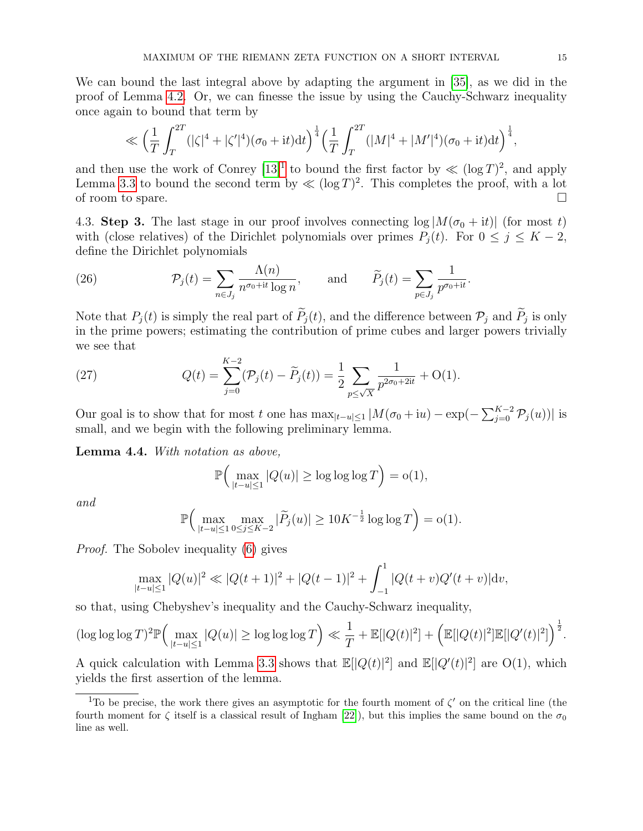We can bound the last integral above by adapting the argument in [\[35\]](#page-27-13), as we did in the proof of Lemma [4.2.](#page-11-0) Or, we can finesse the issue by using the Cauchy-Schwarz inequality once again to bound that term by

$$
\ll \left(\frac{1}{T}\int_{T}^{2T}(|\zeta|^4+|\zeta'|^4)(\sigma_0+{\rm i}t){\rm d}t\right)^{\frac{1}{4}}\left(\frac{1}{T}\int_{T}^{2T}(|M|^4+|M'|^4)(\sigma_0+{\rm i}t){\rm d}t\right)^{\frac{1}{4}},
$$

and then use the work of Conrey  $[13]^1$  $[13]^1$  $[13]^1$  to bound the first factor by  $\ll (\log T)^2$ , and apply Lemma [3.3](#page-8-3) to bound the second term by  $\ll (\log T)^2$ . This completes the proof, with a lot of room to spare.

4.3. Step 3. The last stage in our proof involves connecting  $\log|M(\sigma_0 + it)|$  (for most t) with (close relatives) of the Dirichlet polynomials over primes  $P_j(t)$ . For  $0 \le j \le K - 2$ , define the Dirichlet polynomials

(26) 
$$
\mathcal{P}_j(t) = \sum_{n \in J_j} \frac{\Lambda(n)}{n^{\sigma_0 + it} \log n}, \quad \text{and} \quad \widetilde{P}_j(t) = \sum_{p \in J_j} \frac{1}{p^{\sigma_0 + it}}.
$$

Note that  $P_j(t)$  is simply the real part of  $P_j(t)$ , and the difference between  $\mathcal{P}_j$  and  $P_j$  is only in the prime powers; estimating the contribution of prime cubes and larger powers trivially we see that

(27) 
$$
Q(t) = \sum_{j=0}^{K-2} (\mathcal{P}_j(t) - \widetilde{P}_j(t)) = \frac{1}{2} \sum_{p \le \sqrt{X}} \frac{1}{p^{2\sigma_0 + 2it}} + O(1).
$$

Our goal is to show that for most t one has  $\max_{|t-u|\leq 1}|M(\sigma_0+iu)-\exp(-\sum_{j=0}^{K-2}P_j(u))|$  is small, and we begin with the following preliminary lemma.

<span id="page-14-1"></span>Lemma 4.4. With notation as above,

$$
\mathbb{P}\Big(\max_{|t-u|\leq 1}|Q(u)|\geq \log\log\log T\Big)=o(1),
$$

and

$$
\mathbb{P}\Big(\max_{|t-u|\leq 1} \max_{0\leq j\leq K-2} |\widetilde{P}_j(u)| \geq 10K^{-\frac{1}{2}}\log\log T\Big) = o(1).
$$

Proof. The Sobolev inequality [\(6\)](#page-6-2) gives

$$
\max_{|t-u|\leq 1} |Q(u)|^2 \ll |Q(t+1)|^2 + |Q(t-1)|^2 + \int_{-1}^1 |Q(t+v)Q'(t+v)|\mathrm{d}v,
$$

so that, using Chebyshev's inequality and the Cauchy-Schwarz inequality,

$$
(\log \log \log T)^2 \mathbb{P}\Big(\max_{|t-u| \le 1} |Q(u)| \ge \log \log \log T\Big) \ll \frac{1}{T} + \mathbb{E}[|Q(t)|^2] + \Big(\mathbb{E}[|Q(t)|^2]\mathbb{E}[|Q'(t)|^2]\Big)^{\frac{1}{2}}.
$$

A quick calculation with Lemma [3.3](#page-8-3) shows that  $\mathbb{E}[|Q(t)|^2]$  and  $\mathbb{E}[|Q'(t)|^2]$  are O(1), which yields the first assertion of the lemma.

<span id="page-14-0"></span><sup>&</sup>lt;sup>1</sup>To be precise, the work there gives an asymptotic for the fourth moment of  $\zeta'$  on the critical line (the fourth moment for  $\zeta$  itself is a classical result of Ingham [\[22\]](#page-26-22)), but this implies the same bound on the  $\sigma_0$ line as well.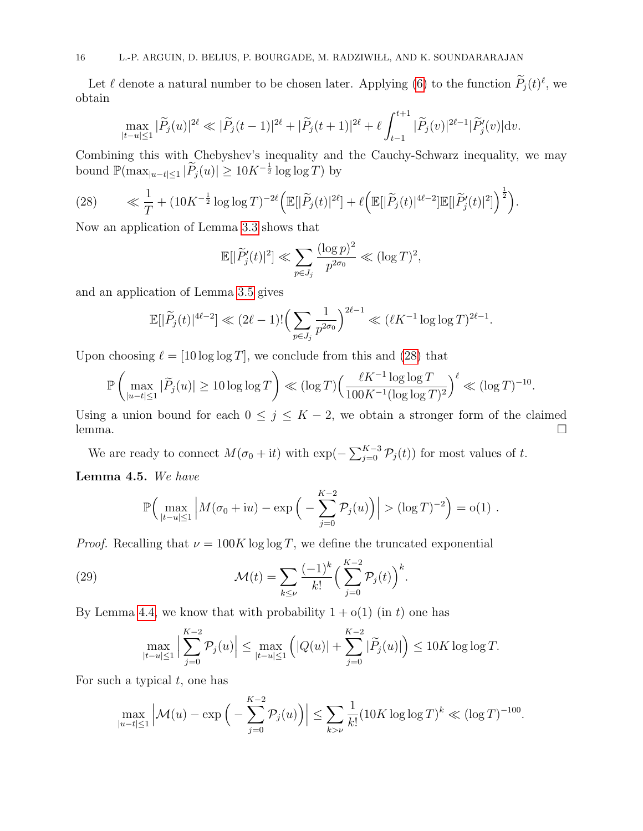Let  $\ell$  denote a natural number to be chosen later. Applying [\(6\)](#page-6-2) to the function  $\tilde{P}_j(t)^{\ell}$ , we obtain

$$
\max_{|t-u|\leq 1}|\widetilde{P}_j(u)|^{2\ell}\ll |\widetilde{P}_j(t-1)|^{2\ell}+|\widetilde{P}_j(t+1)|^{2\ell}+\ell\int_{t-1}^{t+1}|\widetilde{P}_j(v)|^{2\ell-1}|\widetilde{P}_j'(v)|\mathrm{d}v.
$$

Combining this with Chebyshev's inequality and the Cauchy-Schwarz inequality, we may bound  $\mathbb{P}(\max_{|u-t| \leq 1} |\widetilde{P}_j(u)| \geq 10K^{-\frac{1}{2}} \log \log T)$  by

<span id="page-15-0"></span>(28) 
$$
\ll \frac{1}{T} + (10K^{-\frac{1}{2}}\log\log T)^{-2\ell} \Big( \mathbb{E}[|\widetilde{P}_j(t)|^{2\ell}] + \ell \Big( \mathbb{E}[|\widetilde{P}_j(t)|^{4\ell-2}] \mathbb{E}[|\widetilde{P}_j'(t)|^2] \Big)^{\frac{1}{2}} \Big).
$$

Now an application of Lemma [3.3](#page-8-3) shows that

$$
\mathbb{E}[|\widetilde{P}'_j(t)|^2] \ll \sum_{p \in J_j} \frac{(\log p)^2}{p^{2\sigma_0}} \ll (\log T)^2,
$$

and an application of Lemma [3.5](#page-10-3) gives

$$
\mathbb{E}[|\widetilde{P}_j(t)|^{4\ell-2}] \ll (2\ell-1)! \Big(\sum_{p \in J_j} \frac{1}{p^{2\sigma_0}}\Big)^{2\ell-1} \ll (\ell K^{-1} \log \log T)^{2\ell-1}.
$$

Upon choosing  $\ell = [10 \log \log T]$ , we conclude from this and [\(28\)](#page-15-0) that

$$
\mathbb{P}\left(\max_{|u-t|\leq 1}|\widetilde{P}_j(u)|\geq 10\log\log T\right)\ll (\log T)\left(\frac{\ell K^{-1}\log\log T}{100K^{-1}(\log\log T)^2}\right)^{\ell}\ll (\log T)^{-10}.
$$

Using a union bound for each  $0 \leq j \leq K-2$ , we obtain a stronger form of the claimed  $l$ emma.

We are ready to connect  $M(\sigma_0 + it)$  with  $\exp(-\sum_{j=0}^{K-3} \mathcal{P}_j(t))$  for most values of t.

<span id="page-15-1"></span>Lemma 4.5. We have

$$
\mathbb{P}\Big(\max_{|t-u|\leq 1}\Big|M(\sigma_0+iu)-\exp\Big(-\sum_{j=0}^{K-2}\mathcal{P}_j(u)\Big)\Big|>(\log T)^{-2}\Big)=o(1).
$$

*Proof.* Recalling that  $\nu = 100K \log \log T$ , we define the truncated exponential

(29) 
$$
\mathcal{M}(t) = \sum_{k \le \nu} \frac{(-1)^k}{k!} \left( \sum_{j=0}^{K-2} \mathcal{P}_j(t) \right)^k.
$$

By Lemma [4.4,](#page-14-1) we know that with probability  $1 + o(1)$  (in t) one has

$$
\max_{|t-u|\le 1} \Big| \sum_{j=0}^{K-2} \mathcal{P}_j(u) \Big| \le \max_{|t-u|\le 1} \Big( |Q(u)| + \sum_{j=0}^{K-2} |\widetilde{P}_j(u)| \Big) \le 10K \log \log T.
$$

For such a typical  $t$ , one has

$$
\max_{|u-t| \le 1} \left| \mathcal{M}(u) - \exp\left(-\sum_{j=0}^{K-2} \mathcal{P}_j(u)\right) \right| \le \sum_{k > \nu} \frac{1}{k!} (10K \log \log T)^k \ll (\log T)^{-100}.
$$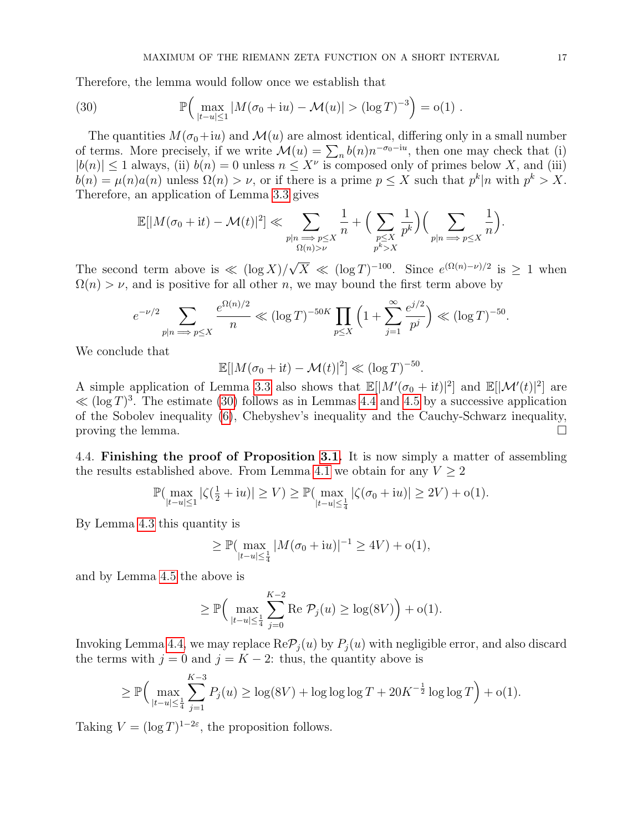Therefore, the lemma would follow once we establish that

<span id="page-16-0"></span>(30) 
$$
\mathbb{P}\Big(\max_{|t-u| \le 1} |M(\sigma_0 + iu) - \mathcal{M}(u)| > (\log T)^{-3}\Big) = o(1) .
$$

The quantities  $M(\sigma_0+iu)$  and  $\mathcal{M}(u)$  are almost identical, differing only in a small number of terms. More precisely, if we write  $\mathcal{M}(u) = \sum_{n} b(n) n^{-\sigma_0 - iu}$ , then one may check that (i)  $|b(n)| \leq 1$  always, (ii)  $b(n) = 0$  unless  $n \leq X^{\nu}$  is composed only of primes below X, and (iii)  $b(n) = \mu(n)a(n)$  unless  $\Omega(n) > \nu$ , or if there is a prime  $p \leq X$  such that  $p^k | n$  with  $p^k > X$ . Therefore, an application of Lemma [3.3](#page-8-3) gives

$$
\mathbb{E}[|M(\sigma_0+{\rm i}t)-\mathcal{M}(t)|^2] \ll \sum_{\substack{p|n \implies p \leq X \\ \Omega(n) > \nu}} \frac{1}{n} + \Big(\sum_{\substack{p \leq X \\ p^k > X}} \frac{1}{p^k}\Big) \Big(\sum_{\substack{p|n \implies p \leq X \\ p^k > X}} \frac{1}{n}\Big).
$$

The second term above is  $\ll (\log X)/$ √  $\overline{X} \ll (\log T)^{-100}$ . Since  $e^{(\Omega(n)-\nu)/2}$  is  $\geq 1$  when  $\Omega(n) > \nu$ , and is positive for all other n, we may bound the first term above by

$$
e^{-\nu/2} \sum_{p|n \implies p \le X} \frac{e^{\Omega(n)/2}}{n} \ll (\log T)^{-50K} \prod_{p \le X} \left(1 + \sum_{j=1}^{\infty} \frac{e^{j/2}}{p^j}\right) \ll (\log T)^{-50}.
$$

We conclude that

$$
\mathbb{E}[|M(\sigma_0 + \mathrm{i}t) - \mathcal{M}(t)|^2] \ll (\log T)^{-50}.
$$

A simple application of Lemma [3.3](#page-8-3) also shows that  $\mathbb{E}[|M'(\sigma_0 + it)|^2]$  and  $\mathbb{E}[|\mathcal{M}'(t)|^2]$  are  $\ll (\log T)^3$ . The estimate [\(30\)](#page-16-0) follows as in Lemmas [4.4](#page-14-1) and [4.5](#page-15-1) by a successive application of the Sobolev inequality [\(6\)](#page-6-2), Chebyshev's inequality and the Cauchy-Schwarz inequality, proving the lemma.  $\square$ 

4.4. Finishing the proof of Proposition [3.1.](#page-8-0) It is now simply a matter of assembling the results established above. From Lemma [4.1](#page-10-0) we obtain for any  $V \geq 2$ 

$$
\mathbb{P}(\max_{|t-u|\leq 1}|\zeta(\tfrac{1}{2}+{\rm i}u)|\geq V)\geq \mathbb{P}(\max_{|t-u|\leq \frac{1}{4}}|\zeta(\sigma_0+{\rm i}u)|\geq 2V)+{\rm o}(1).
$$

By Lemma [4.3](#page-13-0) this quantity is

$$
\geq \mathbb{P}(\max_{|t-u|\leq \frac{1}{4}}|M(\sigma_0+{\rm i}u)|^{-1}\geq 4V)+{\rm o}(1),
$$

and by Lemma [4.5](#page-15-1) the above is

$$
\geq \mathbb{P}\Big(\max_{|t-u|\leq \frac{1}{4}}\sum_{j=0}^{K-2}\text{Re }\mathcal{P}_j(u)\geq \log(8V)\Big) +o(1).
$$

Invoking Lemma [4.4,](#page-14-1) we may replace  $\text{Re}\mathcal{P}_j(u)$  by  $P_j(u)$  with negligible error, and also discard the terms with  $j = 0$  and  $j = K - 2$ : thus, the quantity above is

$$
\geq \mathbb{P}\Big(\max_{|t-u|\leq \frac{1}{4}} \sum_{j=1}^{K-3} P_j(u) \geq \log(8V) + \log\log\log T + 20K^{-\frac{1}{2}}\log\log T\Big) + o(1).
$$

Taking  $V = (\log T)^{1-2\varepsilon}$ , the proposition follows.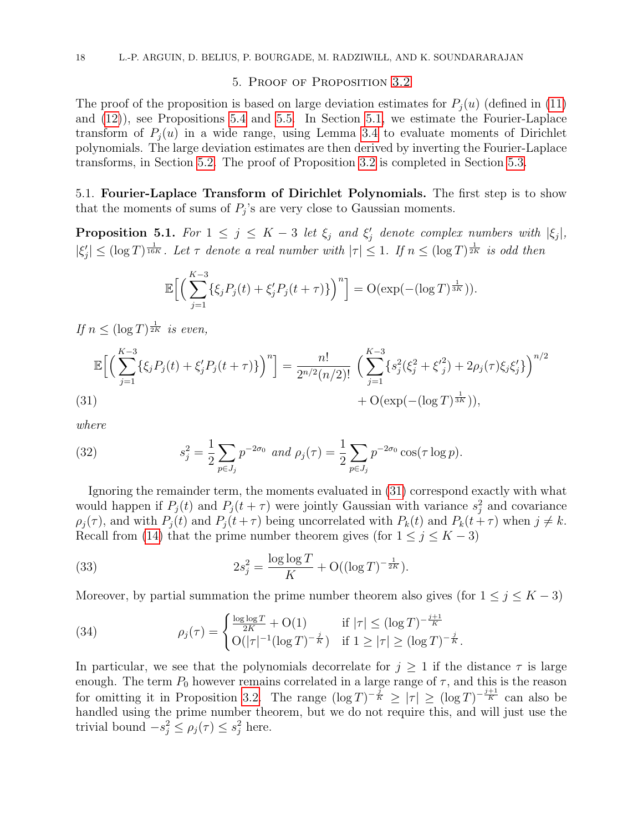### 5. Proof of Proposition [3.2](#page-8-1)

The proof of the proposition is based on large deviation estimates for  $P_i(u)$  (defined in [\(11\)](#page-7-2) and [\(12\)](#page-7-3)), see Propositions [5.4](#page-21-0) and [5.5.](#page-22-0) In Section [5.1,](#page-17-0) we estimate the Fourier-Laplace transform of  $P_i(u)$  in a wide range, using Lemma [3.4](#page-9-0) to evaluate moments of Dirichlet polynomials. The large deviation estimates are then derived by inverting the Fourier-Laplace transforms, in Section [5.2.](#page-20-0) The proof of Proposition [3.2](#page-8-1) is completed in Section [5.3.](#page-24-0)

<span id="page-17-0"></span>5.1. Fourier-Laplace Transform of Dirichlet Polynomials. The first step is to show that the moments of sums of  $P_j$ 's are very close to Gaussian moments.

<span id="page-17-2"></span>**Proposition 5.1.** For  $1 \leq j \leq K-3$  let  $\xi_j$  and  $\xi'_j$  denote complex numbers with  $|\xi_j|$ ,  $|\xi_j'|\leq (\log T)^{\frac{1}{16K}}$ . Let  $\tau$  denote a real number with  $|\tau|\leq 1$ . If  $n\leq (\log T)^{\frac{1}{2K}}$  is odd then

$$
\mathbb{E}\Big[\Big(\sum_{j=1}^{K-3} \{\xi_j P_j(t) + \xi'_j P_j(t+\tau)\}\Big)^n\Big] = \mathcal{O}(\exp(-(\log T)^{\frac{1}{3K}})).
$$

If  $n \leq (\log T)^{\frac{1}{2K}}$  is even,

$$
\mathbb{E}\Big[\Big(\sum_{j=1}^{K-3}\{\xi_j P_j(t) + \xi'_j P_j(t+\tau)\}\Big)^n\Big] = \frac{n!}{2^{n/2}(n/2)!} \left(\sum_{j=1}^{K-3}\{s_j^2(\xi_j^2 + {\xi'}_j^2) + 2\rho_j(\tau)\xi_j \xi'_j\}\right)^{n/2} + \mathcal{O}(\exp(-(\log T)^{\frac{1}{3K}})),
$$
\n(31)

<span id="page-17-1"></span>where

(32) 
$$
s_j^2 = \frac{1}{2} \sum_{p \in J_j} p^{-2\sigma_0} \text{ and } \rho_j(\tau) = \frac{1}{2} \sum_{p \in J_j} p^{-2\sigma_0} \cos(\tau \log p).
$$

Ignoring the remainder term, the moments evaluated in [\(31\)](#page-17-1) correspond exactly with what would happen if  $P_j(t)$  and  $P_j(t+\tau)$  were jointly Gaussian with variance  $s_j^2$  and covariance  $\rho_j(\tau)$ , and with  $P_j(t)$  and  $P_j(t+\tau)$  being uncorrelated with  $P_k(t)$  and  $P_k(t+\tau)$  when  $j \neq k$ . Recall from [\(14\)](#page-8-2) that the prime number theorem gives (for  $1 \le j \le K - 3$ )

<span id="page-17-3"></span>(33) 
$$
2s_j^2 = \frac{\log \log T}{K} + O((\log T)^{-\frac{1}{2K}}).
$$

Moreover, by partial summation the prime number theorem also gives (for  $1 \leq j \leq K - 3$ )

<span id="page-17-4"></span>(34) 
$$
\rho_j(\tau) = \begin{cases} \frac{\log \log T}{2K} + O(1) & \text{if } |\tau| \le (\log T)^{-\frac{j+1}{K}}\\ O(|\tau|^{-1}(\log T)^{-\frac{j}{K}}) & \text{if } 1 \ge |\tau| \ge (\log T)^{-\frac{j}{K}}. \end{cases}
$$

In particular, we see that the polynomials decorrelate for  $j \geq 1$  if the distance  $\tau$  is large enough. The term  $P_0$  however remains correlated in a large range of  $\tau$ , and this is the reason for omitting it in Proposition [3.2.](#page-8-1) The range  $(\log T)^{-\frac{j}{K}} \ge |\tau| \ge (\log T)^{-\frac{j+1}{K}}$  can also be handled using the prime number theorem, but we do not require this, and will just use the trivial bound  $-s_j^2 \leq \rho_j(\tau) \leq s_j^2$  here.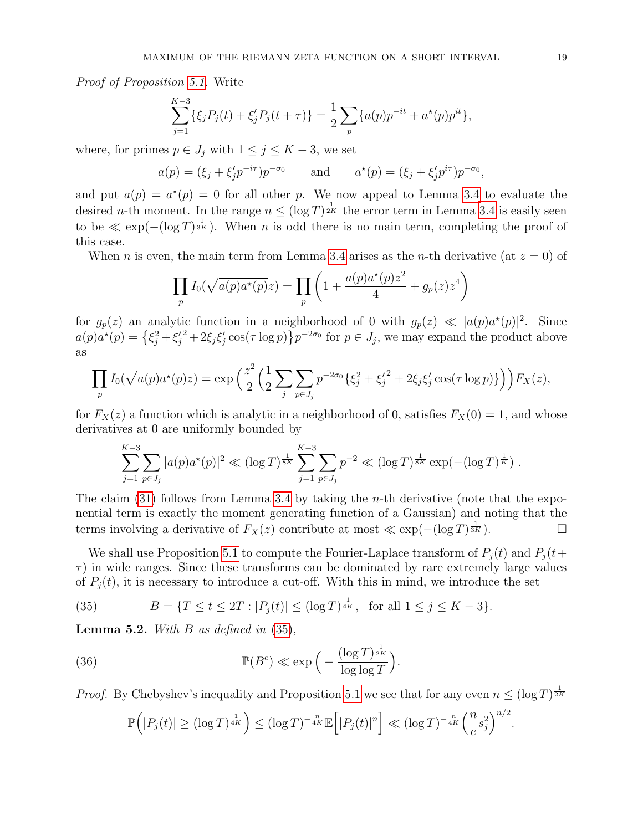Proof of Proposition [5.1.](#page-17-2) Write

$$
\sum_{j=1}^{K-3} \{\xi_j P_j(t) + \xi'_j P_j(t+\tau)\} = \frac{1}{2} \sum_p \{a(p)p^{-it} + a^*(p)p^{it}\},
$$

where, for primes  $p \in J_j$  with  $1 \leq j \leq K-3$ , we set

$$
a(p) = (\xi_j + \xi'_j p^{-i\tau}) p^{-\sigma_0}
$$
 and  $a^*(p) = (\xi_j + \xi'_j p^{i\tau}) p^{-\sigma_0}$ ,

and put  $a(p) = a^*(p) = 0$  for all other p. We now appeal to Lemma [3.4](#page-9-0) to evaluate the desired *n*-th moment. In the range  $n \leq (\log T)^{\frac{1}{2K}}$  the error term in Lemma [3.4](#page-9-0) is easily seen to be  $\ll \exp(-(\log T)^{\frac{1}{3K}})$ . When n is odd there is no main term, completing the proof of this case.

When n is even, the main term from Lemma [3.4](#page-9-0) arises as the *n*-th derivative (at  $z = 0$ ) of

$$
\prod_{p} I_0(\sqrt{a(p)a^*(p)}z) = \prod_{p} \left(1 + \frac{a(p)a^*(p)z^2}{4} + g_p(z)z^4\right)
$$

for  $g_p(z)$  an analytic function in a neighborhood of 0 with  $g_p(z) \ll |a(p)a^{\star}(p)|^2$ . Since  $a(p)a^{\star}(p) = \left\{\xi_j^2 + \xi_j'^2 + 2\xi_j\xi_j'\cos(\tau\log p)\right\}p^{-2\sigma_0}$  for  $p \in J_j$ , we may expand the product above as

$$
\prod_{p} I_0(\sqrt{a(p)a^*(p)}z) = \exp\left(\frac{z^2}{2}\left(\frac{1}{2}\sum_{j}\sum_{p\in J_j}p^{-2\sigma_0}\{\xi_j^2 + {\xi_j'}^2 + 2\xi_j\xi_j'\cos(\tau\log p)\}\right)\right)F_X(z),
$$

for  $F_X(z)$  a function which is analytic in a neighborhood of 0, satisfies  $F_X(0) = 1$ , and whose derivatives at 0 are uniformly bounded by

$$
\sum_{j=1}^{K-3} \sum_{p \in J_j} |a(p)a^{\star}(p)|^2 \ll (\log T)^{\frac{1}{8K}} \sum_{j=1}^{K-3} \sum_{p \in J_j} p^{-2} \ll (\log T)^{\frac{1}{8K}} \exp(-(\log T)^{\frac{1}{K}}).
$$

The claim [\(31\)](#page-17-1) follows from Lemma [3.4](#page-9-0) by taking the *n*-th derivative (note that the exponential term is exactly the moment generating function of a Gaussian) and noting that the terms involving a derivative of  $F_X(z)$  contribute at most  $\ll \exp(-(\log T)^{\frac{1}{3K}})$ .

We shall use Proposition [5.1](#page-17-2) to compute the Fourier-Laplace transform of  $P_i(t)$  and  $P_j(t+$  $\tau$ ) in wide ranges. Since these transforms can be dominated by rare extremely large values of  $P_i(t)$ , it is necessary to introduce a cut-off. With this in mind, we introduce the set

<span id="page-18-0"></span>(35) 
$$
B = \{T \le t \le 2T : |P_j(t)| \le (\log T)^{\frac{1}{4K}}, \text{ for all } 1 \le j \le K - 3\}.
$$

<span id="page-18-1"></span>**Lemma 5.2.** With B as defined in  $(35)$ ,

(36) 
$$
\mathbb{P}(B^c) \ll \exp\Big(-\frac{(\log T)^{\frac{1}{2K}}}{\log \log T}\Big).
$$

*Proof.* By Chebyshev's inequality and Proposition [5.1](#page-17-2) we see that for any even  $n \leq (\log T)^{\frac{1}{2K}}$ 

$$
\mathbb{P}\Big(|P_j(t)| \ge (\log T)^{\frac{1}{4K}}\Big) \le (\log T)^{-\frac{n}{4K}} \mathbb{E}\Big[|P_j(t)|^n\Big] \ll (\log T)^{-\frac{n}{4K}} \Big(\frac{n}{e} s_j^2\Big)^{n/2}
$$

.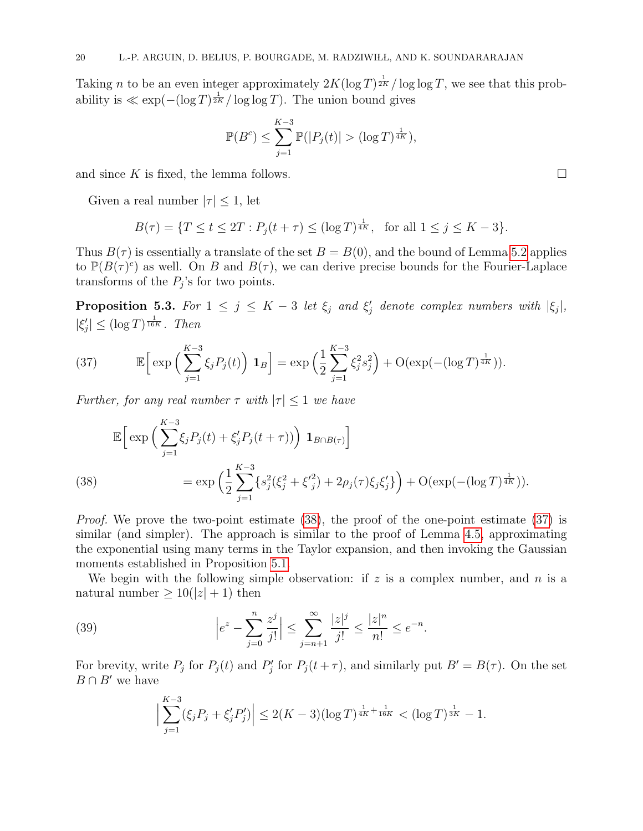Taking *n* to be an even integer approximately  $2K(\log T)^{\frac{1}{2K}}/\log \log T$ , we see that this probability is  $\ll \exp(-(\log T)^{\frac{1}{2K}}/\log \log T)$ . The union bound gives

$$
\mathbb{P}(B^{c}) \le \sum_{j=1}^{K-3} \mathbb{P}(|P_{j}(t)| > (\log T)^{\frac{1}{4K}}),
$$

and since K is fixed, the lemma follows.

Given a real number  $|\tau| \leq 1$ , let

$$
B(\tau) = \{ T \le t \le 2T : P_j(t + \tau) \le (\log T)^{\frac{1}{4K}}, \text{ for all } 1 \le j \le K - 3 \}.
$$

Thus  $B(\tau)$  is essentially a translate of the set  $B = B(0)$ , and the bound of Lemma [5.2](#page-18-1) applies to  $\mathbb{P}(B(\tau)^c)$  as well. On B and  $B(\tau)$ , we can derive precise bounds for the Fourier-Laplace transforms of the  $P_j$ 's for two points.

<span id="page-19-3"></span>**Proposition 5.3.** For  $1 \leq j \leq K-3$  let  $\xi_j$  and  $\xi'_j$  denote complex numbers with  $|\xi_j|$ ,  $|\xi_j'| \leq (\log T)^{\frac{1}{16K}}$ . Then

<span id="page-19-1"></span>(37) 
$$
\mathbb{E}\Big[\exp\Big(\sum_{j=1}^{K-3}\xi_jP_j(t)\Big) \mathbf{1}_B\Big] = \exp\Big(\frac{1}{2}\sum_{j=1}^{K-3}\xi_j^2s_j^2\Big) + \mathcal{O}(\exp(-(\log T)^{\frac{1}{4K}})).
$$

Further, for any real number  $\tau$  with  $|\tau| \leq 1$  we have

$$
\mathbb{E}\Big[\exp\Big(\sum_{j=1}^{K-3} \xi_j P_j(t) + \xi'_j P_j(t+\tau)\Big)\Big) \mathbf{1}_{B \cap B(\tau)}\Big]
$$
\n(38)\n
$$
= \exp\Big(\frac{1}{2} \sum_{j=1}^{K-3} \{s_j^2 (\xi_j^2 + {\xi'}_j^2) + 2\rho_j(\tau) \xi_j \xi'_j\} \Big) + \mathcal{O}(\exp(-(\log T)^{\frac{1}{4K}})).
$$

<span id="page-19-0"></span>*Proof.* We prove the two-point estimate [\(38\)](#page-19-0), the proof of the one-point estimate [\(37\)](#page-19-1) is similar (and simpler). The approach is similar to the proof of Lemma [4.5,](#page-15-1) approximating the exponential using many terms in the Taylor expansion, and then invoking the Gaussian moments established in Proposition [5.1.](#page-17-2)

We begin with the following simple observation: if  $z$  is a complex number, and  $n$  is a natural number  $\geq 10(|z|+1)$  then

(39) 
$$
\left|e^{z} - \sum_{j=0}^{n} \frac{z^{j}}{j!}\right| \leq \sum_{j=n+1}^{\infty} \frac{|z|^{j}}{j!} \leq \frac{|z|^{n}}{n!} \leq e^{-n}.
$$

For brevity, write  $P_j$  for  $P_j(t)$  and  $P'_j$  for  $P_j(t+\tau)$ , and similarly put  $B'=B(\tau)$ . On the set  $B \cap B'$  we have

<span id="page-19-2"></span>
$$
\Big|\sum_{j=1}^{K-3} (\xi_j P_j + \xi'_j P'_j)\Big| \le 2(K-3)(\log T)^{\frac{1}{4K} + \frac{1}{16K}} < (\log T)^{\frac{1}{3K}} - 1.
$$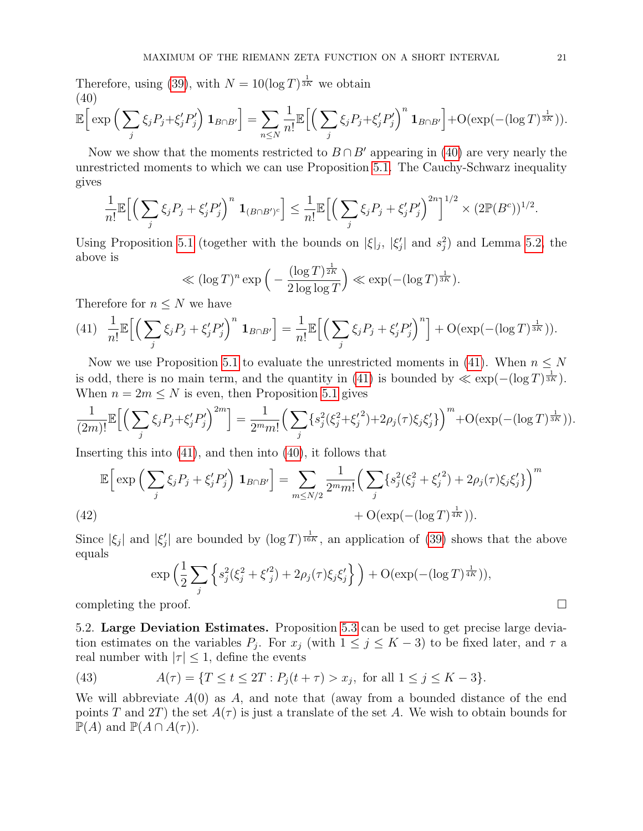Therefore, using [\(39\)](#page-19-2), with  $N = 10(\log T)^{\frac{1}{3K}}$  we obtain (40)

<span id="page-20-1"></span>
$$
\mathbb{E}\bigg[\exp\Big(\sum_{j}\xi_{j}P_{j}+\xi'_{j}P'_{j}\Big)\mathbf{1}_{B\cap B'}\bigg]=\sum_{n\leq N}\frac{1}{n!}\mathbb{E}\bigg[\Big(\sum_{j}\xi_{j}P_{j}+\xi'_{j}P'_{j}\Big)^{n}\mathbf{1}_{B\cap B'}\bigg]+O(\exp(-(log T)^{\frac{1}{3K}})).
$$

Now we show that the moments restricted to  $B \cap B'$  appearing in [\(40\)](#page-20-1) are very nearly the unrestricted moments to which we can use Proposition [5.1.](#page-17-2) The Cauchy-Schwarz inequality gives

$$
\frac{1}{n!} \mathbb{E}\Big[\Big(\sum_j \xi_j P_j + \xi'_j P'_j\Big)^n \mathbf{1}_{(B \cap B')^c}\Big] \leq \frac{1}{n!} \mathbb{E}\Big[\Big(\sum_j \xi_j P_j + \xi'_j P'_j\Big)^{2n}\Big]^{1/2} \times (2 \mathbb{P}(B^c))^{1/2}.
$$

Using Proposition [5.1](#page-17-2) (together with the bounds on  $|\xi|_j$ ,  $|\xi'_j|$  and  $s_j^2$ ) and Lemma [5.2,](#page-18-1) the above is

$$
\ll (\log T)^n \exp\left(-\frac{(\log T)^{\frac{1}{2K}}}{2\log\log T}\right) \ll \exp(-(\log T)^{\frac{1}{3K}}).
$$

Therefore for  $n \leq N$  we have

<span id="page-20-2"></span>(41) 
$$
\frac{1}{n!} \mathbb{E}\Big[\Big(\sum_j \xi_j P_j + \xi'_j P'_j\Big)^n \mathbf{1}_{B \cap B'}\Big] = \frac{1}{n!} \mathbb{E}\Big[\Big(\sum_j \xi_j P_j + \xi'_j P'_j\Big)^n\Big] + \mathcal{O}(\exp(-(\log T)^{\frac{1}{3K}})).
$$

Now we use Proposition [5.1](#page-17-2) to evaluate the unrestricted moments in [\(41\)](#page-20-2). When  $n \leq N$ is odd, there is no main term, and the quantity in [\(41\)](#page-20-2) is bounded by  $\ll \exp(-(\log T)^{\frac{1}{3K}})$ . When  $n = 2m \leq N$  is even, then Proposition [5.1](#page-17-2) gives

$$
\frac{1}{(2m)!} \mathbb{E}\Big[\Big(\sum_{j} \xi_j P_j + \xi'_j P'_j \Big)^{2m}\Big] = \frac{1}{2^m m!} \Big(\sum_{j} \{s_j^2 (\xi_j^2 + \xi_j'^2) + 2\rho_j(\tau) \xi_j \xi'_j \} \Big)^m + O(\exp(-(\log T)^{\frac{1}{3K}})).
$$

Inserting this into [\(41\)](#page-20-2), and then into [\(40\)](#page-20-1), it follows that

$$
\mathbb{E}\Big[\exp\Big(\sum_{j} \xi_{j} P_{j} + \xi'_{j} P'_{j}\Big) \mathbf{1}_{B \cap B'}\Big] = \sum_{m \le N/2} \frac{1}{2^{m} m!} \Big(\sum_{j} \{s_{j}^{2} (\xi_{j}^{2} + \xi'_{j}^{2}) + 2\rho_{j}(\tau)\xi_{j}\xi'_{j}\}\Big)^{m} + O(\exp(-(\log T)^{\frac{1}{4K}})).
$$
\n(42)

Since  $|\xi_j|$  and  $|\xi'_j|$  are bounded by  $(\log T)^{\frac{1}{16K}}$ , an application of [\(39\)](#page-19-2) shows that the above equals

$$
\exp\left(\frac{1}{2}\sum_{j}\left\{s_j^2(\xi_j^2+\xi_j'^2)+2\rho_j(\tau)\xi_j\xi_j'\right\}\right)+O(\exp(-(\log T)^{\frac{1}{4K}})),
$$
  
completing the proof.

<span id="page-20-0"></span>5.2. Large Deviation Estimates. Proposition [5.3](#page-19-3) can be used to get precise large deviation estimates on the variables  $P_j$ . For  $x_j$  (with  $1 \le j \le K-3$ ) to be fixed later, and  $\tau$  a real number with  $|\tau| \leq 1$ , define the events

(43) 
$$
A(\tau) = \{ T \le t \le 2T : P_j(t + \tau) > x_j, \text{ for all } 1 \le j \le K - 3 \}.
$$

We will abbreviate  $A(0)$  as A, and note that (away from a bounded distance of the end points T and 2T) the set  $A(\tau)$  is just a translate of the set A. We wish to obtain bounds for  $\mathbb{P}(A)$  and  $\mathbb{P}(A \cap A(\tau)).$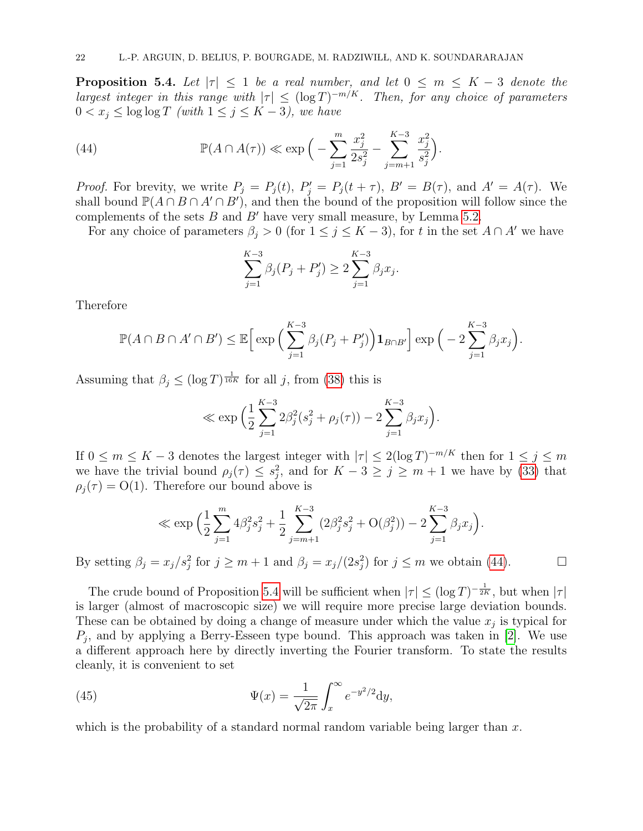<span id="page-21-0"></span>**Proposition 5.4.** Let  $|\tau| < 1$  be a real number, and let  $0 \leq m \leq K - 3$  denote the largest integer in this range with  $|\tau| \leq (\log T)^{-m/K}$ . Then, for any choice of parameters  $0 < x_j \leq \log \log T$  (with  $1 \leq j \leq K - 3$ ), we have

(44) 
$$
\mathbb{P}(A \cap A(\tau)) \ll \exp\Big(-\sum_{j=1}^{m} \frac{x_j^2}{2s_j^2} - \sum_{j=m+1}^{K-3} \frac{x_j^2}{s_j^2}\Big).
$$

*Proof.* For brevity, we write  $P_j = P_j(t)$ ,  $P'_j = P_j(t + \tau)$ ,  $B' = B(\tau)$ , and  $A' = A(\tau)$ . We shall bound  $\mathbb{P}(A \cap B \cap A' \cap B')$ , and then the bound of the proposition will follow since the complements of the sets  $B$  and  $B'$  have very small measure, by Lemma [5.2.](#page-18-1)

For any choice of parameters  $\beta_i > 0$  (for  $1 \leq j \leq K - 3$ ), for t in the set  $A \cap A'$  we have

<span id="page-21-1"></span>
$$
\sum_{j=1}^{K-3} \beta_j (P_j + P'_j) \ge 2 \sum_{j=1}^{K-3} \beta_j x_j.
$$

Therefore

$$
\mathbb{P}(A \cap B \cap A' \cap B') \leq \mathbb{E}\Big[\exp\Big(\sum_{j=1}^{K-3} \beta_j(P_j + P'_j)\Big) \mathbf{1}_{B \cap B'}\Big] \exp\Big(-2\sum_{j=1}^{K-3} \beta_j x_j\Big).
$$

Assuming that  $\beta_j \leq (\log T)^{\frac{1}{16K}}$  for all j, from [\(38\)](#page-19-0) this is

$$
\ll \exp \left( \frac{1}{2} \sum_{j=1}^{K-3} 2\beta_j^2 (s_j^2 + \rho_j(\tau)) - 2 \sum_{j=1}^{K-3} \beta_j x_j \right).
$$

If  $0 \leq m \leq K - 3$  denotes the largest integer with  $|\tau| \leq 2(\log T)^{-m/K}$  then for  $1 \leq j \leq m$ we have the trivial bound  $\rho_j(\tau) \leq s_j^2$ , and for  $K - 3 \geq j \geq m + 1$  we have by [\(33\)](#page-17-3) that  $\rho_i(\tau) = O(1)$ . Therefore our bound above is

$$
\ll \exp\left(\frac{1}{2}\sum_{j=1}^{m}4\beta_j^2s_j^2 + \frac{1}{2}\sum_{j=m+1}^{K-3}(2\beta_j^2s_j^2 + O(\beta_j^2)) - 2\sum_{j=1}^{K-3}\beta_jx_j\right).
$$

By setting  $\beta_j = x_j/s_j^2$  for  $j \ge m+1$  and  $\beta_j = x_j/(2s_j^2)$  for  $j \le m$  we obtain [\(44\)](#page-21-1).

The crude bound of Proposition [5.4](#page-21-0) will be sufficient when  $|\tau| \leq (\log T)^{-\frac{1}{2K}}$ , but when  $|\tau|$ is larger (almost of macroscopic size) we will require more precise large deviation bounds. These can be obtained by doing a change of measure under which the value  $x_j$  is typical for  $P_j$ , and by applying a Berry-Esseen type bound. This approach was taken in [\[2\]](#page-26-15). We use a different approach here by directly inverting the Fourier transform. To state the results cleanly, it is convenient to set

<span id="page-21-2"></span>(45) 
$$
\Psi(x) = \frac{1}{\sqrt{2\pi}} \int_x^{\infty} e^{-y^2/2} dy,
$$

which is the probability of a standard normal random variable being larger than  $x$ .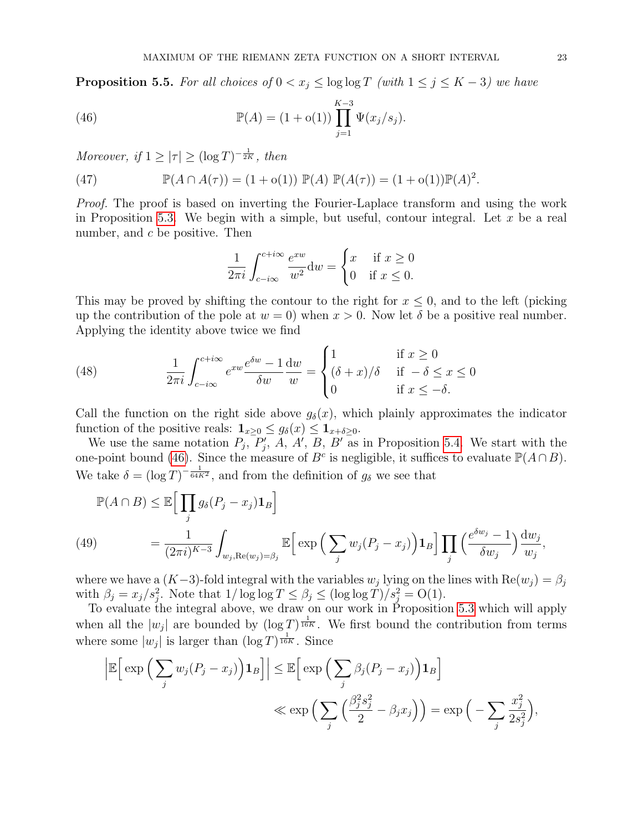<span id="page-22-0"></span>**Proposition 5.5.** For all choices of  $0 < x_j \le \log \log T$  (with  $1 \le j \le K - 3$ ) we have

(46) 
$$
\mathbb{P}(A) = (1 + o(1)) \prod_{j=1}^{K-3} \Psi(x_j/s_j).
$$

Moreover, if  $1 \ge |\tau| \ge (\log T)^{-\frac{1}{2K}}$ , then

<span id="page-22-3"></span>(47) 
$$
\mathbb{P}(A \cap A(\tau)) = (1 + o(1)) \mathbb{P}(A) \mathbb{P}(A(\tau)) = (1 + o(1)) \mathbb{P}(A)^2.
$$

Proof. The proof is based on inverting the Fourier-Laplace transform and using the work in Proposition [5.3.](#page-19-3) We begin with a simple, but useful, contour integral. Let  $x$  be a real number, and  $c$  be positive. Then

<span id="page-22-1"></span>
$$
\frac{1}{2\pi i} \int_{c-i\infty}^{c+i\infty} \frac{e^{xw}}{w^2} dw = \begin{cases} x & \text{if } x \ge 0\\ 0 & \text{if } x \le 0. \end{cases}
$$

This may be proved by shifting the contour to the right for  $x \leq 0$ , and to the left (picking up the contribution of the pole at  $w = 0$ ) when  $x > 0$ . Now let  $\delta$  be a positive real number. Applying the identity above twice we find

(48) 
$$
\frac{1}{2\pi i} \int_{c-i\infty}^{c+i\infty} e^{xw} \frac{e^{\delta w} - 1}{\delta w} \frac{dw}{w} = \begin{cases} 1 & \text{if } x \ge 0\\ (\delta + x)/\delta & \text{if } -\delta \le x \le 0\\ 0 & \text{if } x \le -\delta. \end{cases}
$$

Call the function on the right side above  $g_{\delta}(x)$ , which plainly approximates the indicator function of the positive reals:  $\mathbf{1}_{x\geq0}\leq g_{\delta}(x)\leq \mathbf{1}_{x+\delta\geq0}$ .

We use the same notation  $P_j$ ,  $P'_j$ , A, A', B, B' as in Proposition [5.4.](#page-21-0) We start with the one-point bound [\(46\)](#page-22-1). Since the measure of  $B<sup>c</sup>$  is negligible, it suffices to evaluate  $\mathbb{P}(A \cap B)$ . We take  $\delta = (\log T)^{-\frac{1}{64K^2}}$ , and from the definition of  $g_{\delta}$  we see that

<span id="page-22-2"></span>
$$
\mathbb{P}(A \cap B) \leq \mathbb{E}\Big[\prod_{j} g_{\delta}(P_j - x_j) \mathbf{1}_B\Big]
$$
\n
$$
(49) \qquad \qquad = \frac{1}{(2\pi i)^{K-3}} \int_{w_j, \text{Re}(w_j) = \beta_j} \mathbb{E}\Big[\exp\Big(\sum_j w_j (P_j - x_j)\Big) \mathbf{1}_B\Big] \prod_j \Big(\frac{e^{\delta w_j} - 1}{\delta w_j}\Big) \frac{\mathrm{d}w_j}{w_j},
$$

where we have a  $(K-3)$ -fold integral with the variables  $w_j$  lying on the lines with  $\text{Re}(w_j) = \beta_j$ with  $\beta_j = x_j/s_j^2$ . Note that  $1/\log \log T \le \beta_j \le (\log \log T)/s_j^2 = O(1)$ .

To evaluate the integral above, we draw on our work in Proposition [5.3](#page-19-3) which will apply when all the  $|w_j|$  are bounded by  $(\log T)^{\frac{1}{16K}}$ . We first bound the contribution from terms where some  $|w_j|$  is larger than  $(\log T)^{\frac{1}{16K}}$ . Since

$$
\left| \mathbb{E} \Big[ \exp \Big( \sum_{j} w_j (P_j - x_j) \Big) \mathbf{1}_B \Big] \right| \leq \mathbb{E} \Big[ \exp \Big( \sum_{j} \beta_j (P_j - x_j) \Big) \mathbf{1}_B \Big] \ll \exp \Big( \sum_{j} \Big( \frac{\beta_j^2 s_j^2}{2} - \beta_j x_j \Big) \Big) = \exp \Big( - \sum_{j} \frac{x_j^2}{2s_j^2} \Big),
$$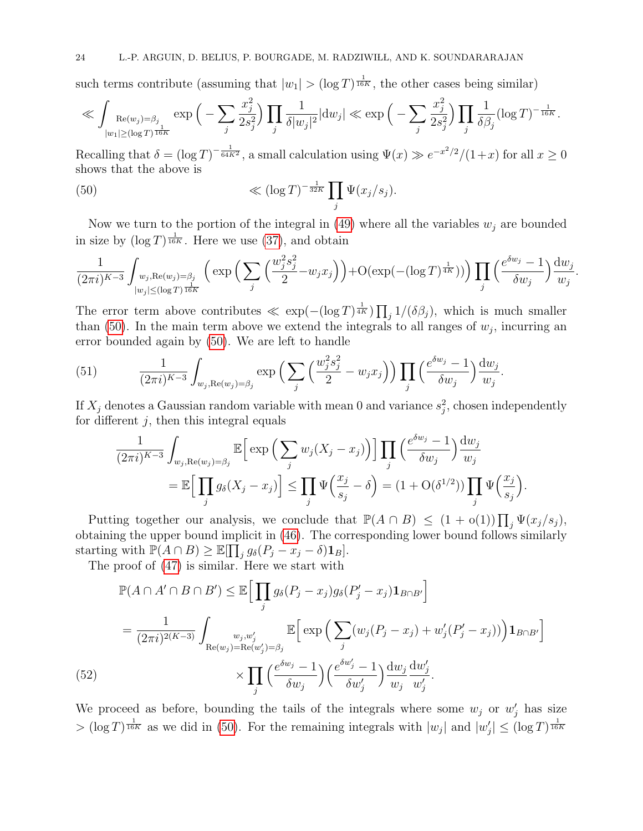such terms contribute (assuming that  $|w_1| > (\log T)^{\frac{1}{16K}}$ , the other cases being similar)

$$
\ll \int_{\substack{\text{Re}(w_j) = \beta_j \\ |w_1| \ge (\log T)^{\frac{1}{16K}}}} \exp\Big(-\sum_j \frac{x_j^2}{2s_j^2}\Big) \prod_j \frac{1}{\delta |w_j|^2} |dw_j| \ll \exp\Big(-\sum_j \frac{x_j^2}{2s_j^2}\Big) \prod_j \frac{1}{\delta \beta_j} (\log T)^{-\frac{1}{16K}}.
$$

Recalling that  $\delta = (\log T)^{-\frac{1}{64K^2}}$ , a small calculation using  $\Psi(x) \gg e^{-x^2/2}/(1+x)$  for all  $x \ge 0$ shows that the above is

<span id="page-23-0"></span>(50) 
$$
\ll (\log T)^{-\frac{1}{32K}} \prod_j \Psi(x_j/s_j).
$$

Now we turn to the portion of the integral in [\(49\)](#page-22-2) where all the variables  $w_j$  are bounded in size by  $(\log T)^{\frac{1}{16K}}$ . Here we use [\(37\)](#page-19-1), and obtain

$$
\frac{1}{(2\pi i)^{K-3}} \int_{\substack{w_j, \text{Re}(w_j) = \beta_j \\ |w_j| \le (\log T)^{\frac{1}{16K}}}} \left( \exp\Big(\sum_j \Big(\frac{w_j^2 s_j^2}{2} - w_j x_j\Big) \Big) + \mathcal{O}(\exp(-(\log T)^{\frac{1}{4K}})) \Big) \prod_j \Big(\frac{e^{\delta w_j} - 1}{\delta w_j}\Big) \frac{\mathrm{d}w_j}{w_j}
$$

.

The error term above contributes  $\ll \exp(-(\log T)^{\frac{1}{4K}}) \prod_j 1/(\delta \beta_j)$ , which is much smaller than [\(50\)](#page-23-0). In the main term above we extend the integrals to all ranges of  $w_j$ , incurring an error bounded again by [\(50\)](#page-23-0). We are left to handle

<span id="page-23-1"></span>(51) 
$$
\frac{1}{(2\pi i)^{K-3}} \int_{w_j, \text{Re}(w_j) = \beta_j} \exp\left(\sum_j \left(\frac{w_j^2 s_j^2}{2} - w_j x_j\right)\right) \prod_j \left(\frac{e^{\delta w_j} - 1}{\delta w_j}\right) \frac{dw_j}{w_j}.
$$

If  $X_j$  denotes a Gaussian random variable with mean 0 and variance  $s_j^2$ , chosen independently for different  $j$ , then this integral equals

$$
\frac{1}{(2\pi i)^{K-3}} \int_{w_j, \text{Re}(w_j) = \beta_j} \mathbb{E} \Big[ \exp \Big( \sum_j w_j (X_j - x_j) \Big) \Big] \prod_j \Big( \frac{e^{\delta w_j} - 1}{\delta w_j} \Big) \frac{dw_j}{w_j} \n= \mathbb{E} \Big[ \prod_j g_\delta (X_j - x_j) \Big] \le \prod_j \Psi \Big( \frac{x_j}{s_j} - \delta \Big) = (1 + \text{O}(\delta^{1/2})) \prod_j \Psi \Big( \frac{x_j}{s_j} \Big).
$$

Putting together our analysis, we conclude that  $\mathbb{P}(A \cap B) \leq (1 + o(1)) \prod_j \Psi(x_j/s_j)$ , obtaining the upper bound implicit in [\(46\)](#page-22-1). The corresponding lower bound follows similarly starting with  $\overline{P(A \cap B)} \geq \mathbb{E}[\prod_j g_\delta(P_j - x_j - \delta) \mathbf{1}_B].$ 

The proof of [\(47\)](#page-22-3) is similar. Here we start with

$$
\mathbb{P}(A \cap A' \cap B \cap B') \leq \mathbb{E}\Big[\prod_{j} g_{\delta}(P_j - x_j)g_{\delta}(P'_j - x_j)\mathbf{1}_{B \cap B'}\Big]
$$
  
\n
$$
= \frac{1}{(2\pi i)^{2(K-3)}} \int_{\text{Re}(w_j) = \text{Re}(w'_j) = \beta_j} \mathbb{E}\Big[\exp\Big(\sum_j (w_j(P_j - x_j) + w'_j(P'_j - x_j))\Big)\mathbf{1}_{B \cap B'}\Big]
$$
  
\n(52)  
\n
$$
\times \prod_j \Big(\frac{e^{\delta w_j} - 1}{\delta w_j}\Big)\Big(\frac{e^{\delta w'_j} - 1}{\delta w'_j}\Big)\frac{\mathrm{d}w_j}{w_j}\frac{\mathrm{d}w'_j}{w'_j}.
$$

We proceed as before, bounding the tails of the integrals where some  $w_j$  or  $w'_j$  has size  $> (\log T)^{\frac{1}{16K}}$  as we did in [\(50\)](#page-23-0). For the remaining integrals with  $|w_j|$  and  $|w'_j| \leq (\log T)^{\frac{1}{16K}}$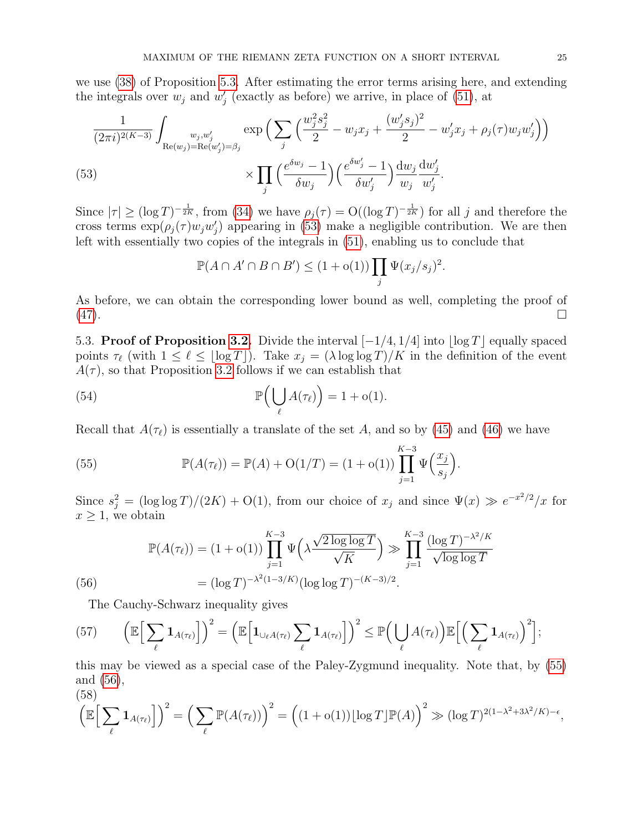we use [\(38\)](#page-19-0) of Proposition [5.3.](#page-19-3) After estimating the error terms arising here, and extending the integrals over  $w_j$  and  $w'_j$  (exactly as before) we arrive, in place of [\(51\)](#page-23-1), at

$$
\frac{1}{(2\pi i)^{2(K-3)}} \int_{\text{Re}(w_j) = \text{Re}(w'_j) = \beta_j} \exp\Big(\sum_j \Big(\frac{w_j^2 s_j^2}{2} - w_j x_j + \frac{(w'_j s_j)^2}{2} - w'_j x_j + \rho_j(\tau) w_j w'_j\Big)\Big) \times \prod_j \Big(\frac{e^{\delta w_j} - 1}{\delta w_j}\Big) \Big(\frac{e^{\delta w'_j} - 1}{\delta w'_j}\Big) \frac{dw_j}{w_j} \frac{dw'_j}{w'_j}.
$$

<span id="page-24-1"></span>Since  $|\tau| \geq (\log T)^{-\frac{1}{2K}}$ , from [\(34\)](#page-17-4) we have  $\rho_j(\tau) = O((\log T)^{-\frac{1}{2K}})$  for all j and therefore the cross terms  $\exp(\rho_j(\tau)w_jw'_j)$  appearing in [\(53\)](#page-24-1) make a negligible contribution. We are then left with essentially two copies of the integrals in [\(51\)](#page-23-1), enabling us to conclude that

<span id="page-24-4"></span>
$$
\mathbb{P}(A \cap A' \cap B \cap B') \le (1 + o(1)) \prod_j \Psi(x_j/s_j)^2.
$$

As before, we can obtain the corresponding lower bound as well, completing the proof of [\(47\)](#page-22-3).

<span id="page-24-0"></span>5.3. Proof of Proposition [3.2.](#page-8-1) Divide the interval  $[-1/4, 1/4]$  into  $\log T$  equally spaced points  $\tau_{\ell}$  (with  $1 \leq \ell \leq \lfloor \log T \rfloor$ ). Take  $x_j = (\lambda \log \log T)/K$  in the definition of the event  $A(\tau)$ , so that Proposition [3.2](#page-8-1) follows if we can establish that

(54) 
$$
\mathbb{P}\left(\bigcup_{\ell} A(\tau_{\ell})\right) = 1 + o(1).
$$

Recall that  $A(\tau_{\ell})$  is essentially a translate of the set A, and so by [\(45\)](#page-21-2) and [\(46\)](#page-22-1) we have

<span id="page-24-2"></span>(55) 
$$
\mathbb{P}(A(\tau_{\ell})) = \mathbb{P}(A) + O(1/T) = (1 + o(1)) \prod_{j=1}^{K-3} \Psi\left(\frac{x_j}{s_j}\right).
$$

Since  $s_j^2 = (\log \log T)/(2K) + O(1)$ , from our choice of  $x_j$  and since  $\Psi(x) \gg e^{-x^2/2}/x$  for  $x \geq 1$ , we obtain

$$
\mathbb{P}(A(\tau_{\ell})) = (1 + o(1)) \prod_{j=1}^{K-3} \Psi\left(\lambda \frac{\sqrt{2 \log \log T}}{\sqrt{K}}\right) \gg \prod_{j=1}^{K-3} \frac{(\log T)^{-\lambda^2/K}}{\sqrt{\log \log T}}
$$
  
(56) 
$$
= (\log T)^{-\lambda^2(1-3/K)} (\log \log T)^{-(K-3)/2}.
$$

<span id="page-24-5"></span><span id="page-24-3"></span>The Cauchy-Schwarz inequality gives

(57) 
$$
\left(\mathbb{E}\Big[\sum_{\ell} \mathbf{1}_{A(\tau_{\ell})}\Big]\right)^2 = \left(\mathbb{E}\Big[\mathbf{1}_{\cup_{\ell}A(\tau_{\ell})}\sum_{\ell} \mathbf{1}_{A(\tau_{\ell})}\Big]\right)^2 \leq \mathbb{P}\Big(\bigcup_{\ell}A(\tau_{\ell})\Big)\mathbb{E}\Big[\Big(\sum_{\ell} \mathbf{1}_{A(\tau_{\ell})}\Big)^2\Big];
$$

this may be viewed as a special case of the Paley-Zygmund inequality. Note that, by [\(55\)](#page-24-2) and [\(56\)](#page-24-3),  $(58)$ 

<span id="page-24-6"></span>
$$
\left(\mathbb{E}\Big[\sum_{\ell} \mathbf{1}_{A(\tau_{\ell})}\Big]\right)^2 = \left(\sum_{\ell} \mathbb{P}(A(\tau_{\ell}))\right)^2 = \left((1 + o(1))\lfloor \log T \rfloor \mathbb{P}(A)\right)^2 \gg (\log T)^{2(1 - \lambda^2 + 3\lambda^2/K) - \epsilon},
$$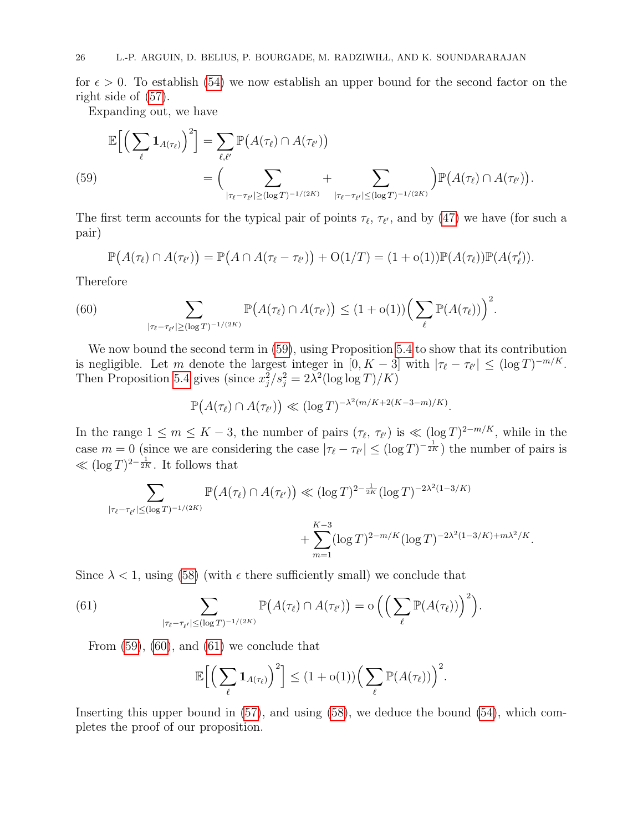for  $\epsilon > 0$ . To establish [\(54\)](#page-24-4) we now establish an upper bound for the second factor on the right side of [\(57\)](#page-24-5).

Expanding out, we have

<span id="page-25-0"></span>
$$
\mathbb{E}\Big[\Big(\sum_{\ell} \mathbf{1}_{A(\tau_{\ell})}\Big)^2\Big] = \sum_{\ell,\ell'} \mathbb{P}\big(A(\tau_{\ell}) \cap A(\tau_{\ell'})\big) \n= \Big(\sum_{|\tau_{\ell}-\tau_{\ell'}|\geq (\log T)^{-1/(2K)}} + \sum_{|\tau_{\ell}-\tau_{\ell'}|\leq (\log T)^{-1/(2K)}}\Big) \mathbb{P}\big(A(\tau_{\ell}) \cap A(\tau_{\ell'})\big).
$$

The first term accounts for the typical pair of points  $\tau_{\ell}$ ,  $\tau_{\ell'}$ , and by [\(47\)](#page-22-3) we have (for such a pair)

<span id="page-25-1"></span>
$$
\mathbb{P}\big(A(\tau_{\ell})\cap A(\tau_{\ell'})\big)=\mathbb{P}\big(A\cap A(\tau_{\ell}-\tau_{\ell'})\big)+O(1/T)=(1+o(1))\mathbb{P}(A(\tau_{\ell}))\mathbb{P}(A(\tau_{\ell})).
$$

Therefore

(60) 
$$
\sum_{|\tau_{\ell}-\tau_{\ell'}|\geq (\log T)^{-1/(2K)}} \mathbb{P}\big(A(\tau_{\ell})\cap A(\tau_{\ell'})\big) \leq (1+o(1))\Big(\sum_{\ell} \mathbb{P}(A(\tau_{\ell}))\Big)^2.
$$

We now bound the second term in [\(59\)](#page-25-0), using Proposition [5.4](#page-21-0) to show that its contribution is negligible. Let m denote the largest integer in  $[0, K - 3]$  with  $|\tau_{\ell} - \tau_{\ell'}| \leq (\log T)^{-m/K}$ . Then Proposition [5.4](#page-21-0) gives (since  $x_j^2/s_j^2 = 2\lambda^2(\log \log T)/K$ )

$$
\mathbb{P}\big(A(\tau_{\ell})\cap A(\tau_{\ell'})\big)\ll (\log T)^{-\lambda^2(m/K+2(K-3-m)/K)}.
$$

In the range  $1 \le m \le K - 3$ , the number of pairs  $(\tau_{\ell}, \tau_{\ell'})$  is  $\ll (\log T)^{2-m/K}$ , while in the case  $m = 0$  (since we are considering the case  $|\tau_{\ell} - \tau_{\ell'}| \leq (\log T)^{-\frac{1}{2K}}$ ) the number of pairs is ≪  $(\log T)^{2-\frac{1}{2K}}$ . It follows that

$$
\sum_{|\tau_{\ell}-\tau_{\ell'}|\leq (\log T)^{-1/(2K)}} \mathbb{P}\big(A(\tau_{\ell})\cap A(\tau_{\ell'})\big) \ll (\log T)^{2-\frac{1}{2K}}(\log T)^{-2\lambda^2(1-3/K)} + \sum_{m=1}^{K-3} (\log T)^{2-m/K}(\log T)^{-2\lambda^2(1-3/K)+m\lambda^2/K}.
$$

Since  $\lambda < 1$ , using [\(58\)](#page-24-6) (with  $\epsilon$  there sufficiently small) we conclude that

(61) 
$$
\sum_{|\tau_{\ell}-\tau_{\ell'}|\leq (\log T)^{-1/(2K)}} \mathbb{P}\big(A(\tau_{\ell})\cap A(\tau_{\ell'})\big)=o\Big(\Big(\sum_{\ell} \mathbb{P}(A(\tau_{\ell}))\Big)^2\Big).
$$

From  $(59)$ ,  $(60)$ , and  $(61)$  we conclude that

<span id="page-25-2"></span>
$$
\mathbb{E}\Big[\Big(\sum_{\ell} \mathbf{1}_{A(\tau_{\ell})}\Big)^2\Big] \leq (1+o(1))\Big(\sum_{\ell} \mathbb{P}(A(\tau_{\ell}))\Big)^2.
$$

Inserting this upper bound in [\(57\)](#page-24-5), and using [\(58\)](#page-24-6), we deduce the bound [\(54\)](#page-24-4), which completes the proof of our proposition.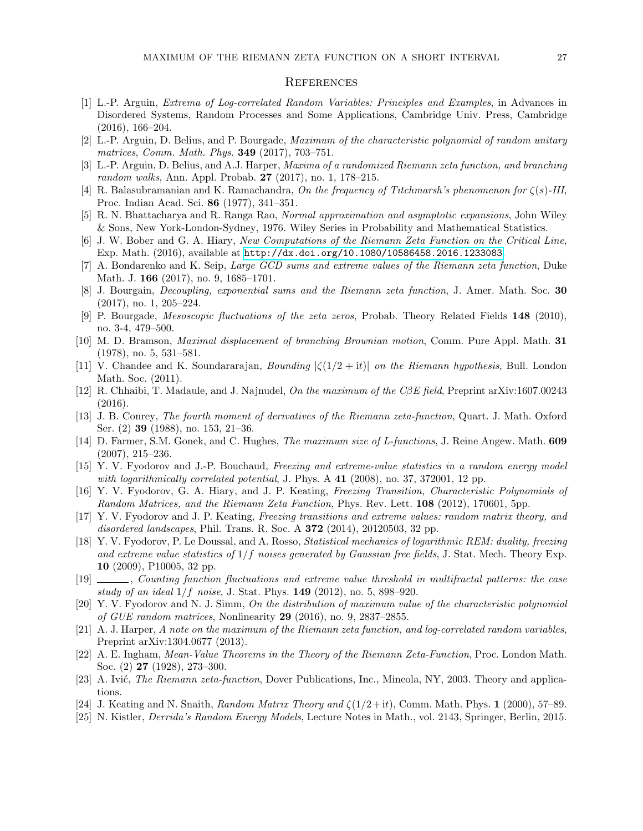#### **REFERENCES**

- <span id="page-26-18"></span>[1] L.-P. Arguin, Extrema of Log-correlated Random Variables: Principles and Examples, in Advances in Disordered Systems, Random Processes and Some Applications, Cambridge Univ. Press, Cambridge (2016), 166–204.
- <span id="page-26-15"></span>[2] L.-P. Arguin, D. Belius, and P. Bourgade, Maximum of the characteristic polynomial of random unitary matrices, Comm. Math. Phys. 349 (2017), 703–751.
- <span id="page-26-14"></span>[3] L.-P. Arguin, D. Belius, and A.J. Harper, Maxima of a randomized Riemann zeta function, and branching random walks, Ann. Appl. Probab. 27 (2017), no. 1, 178–215.
- <span id="page-26-2"></span>[4] R. Balasubramanian and K. Ramachandra, On the frequency of Titchmarsh's phenomenon for  $\zeta(s)$ -III, Proc. Indian Acad. Sci. 86 (1977), 341–351.
- [5] R. N. Bhattacharya and R. Ranga Rao, Normal approximation and asymptotic expansions, John Wiley & Sons, New York-London-Sydney, 1976. Wiley Series in Probability and Mathematical Statistics.
- <span id="page-26-5"></span>[6] J. W. Bober and G. A. Hiary, New Computations of the Riemann Zeta Function on the Critical Line, Exp. Math. (2016), available at [http://dx.doi.org/10.1080/10586458.2016.1233083]( http://dx.doi.org/10.1080/10586458.2016.1233083 ).
- <span id="page-26-3"></span>[7] A. Bondarenko and K. Seip, Large GCD sums and extreme values of the Riemann zeta function, Duke Math. J. **166** (2017), no. 9, 1685–1701.
- <span id="page-26-0"></span>[8] J. Bourgain, Decoupling, exponential sums and the Riemann zeta function, J. Amer. Math. Soc. 30 (2017), no. 1, 205–224.
- <span id="page-26-9"></span>[9] P. Bourgade, Mesoscopic fluctuations of the zeta zeros, Probab. Theory Related Fields 148 (2010), no. 3-4, 479–500.
- <span id="page-26-20"></span>[10] M. D. Bramson, *Maximal displacement of branching Brownian motion*, Comm. Pure Appl. Math. 31 (1978), no. 5, 531–581.
- <span id="page-26-1"></span>[11] V. Chandee and K. Soundararajan, *Bounding*  $|\zeta(1/2 + it)|$  *on the Riemann hypothesis*, Bull. London Math. Soc. (2011).
- <span id="page-26-16"></span>[12] R. Chhaibi, T. Madaule, and J. Najnudel, On the maximum of the CβE field, Preprint arXiv:1607.00243 (2016).
- <span id="page-26-21"></span>[13] J. B. Conrey, The fourth moment of derivatives of the Riemann zeta-function, Quart. J. Math. Oxford Ser. (2) 39 (1988), no. 153, 21–36.
- <span id="page-26-4"></span>[14] D. Farmer, S.M. Gonek, and C. Hughes, *The maximum size of L-functions*, J. Reine Angew. Math. **609** (2007), 215–236.
- <span id="page-26-10"></span>[15] Y. V. Fyodorov and J.-P. Bouchaud, Freezing and extreme-value statistics in a random energy model with logarithmically correlated potential, J. Phys. A  $41$  (2008), no. 37, 372001, 12 pp.
- <span id="page-26-6"></span>[16] Y. V. Fyodorov, G. A. Hiary, and J. P. Keating, Freezing Transition, Characteristic Polynomials of Random Matrices, and the Riemann Zeta Function, Phys. Rev. Lett. **108** (2012), 170601, 5pp.
- <span id="page-26-7"></span>[17] Y. V. Fyodorov and J. P. Keating, Freezing transitions and extreme values: random matrix theory, and disordered landscapes, Phil. Trans. R. Soc. A 372 (2014), 20120503, 32 pp.
- <span id="page-26-11"></span>[18] Y. V. Fyodorov, P. Le Doussal, and A. Rosso, Statistical mechanics of logarithmic REM: duality, freezing and extreme value statistics of  $1/f$  noises generated by Gaussian free fields, J. Stat. Mech. Theory Exp. 10 (2009), P10005, 32 pp.
- <span id="page-26-12"></span>[19] , Counting function fluctuations and extreme value threshold in multifractal patterns: the case study of an ideal  $1/f$  noise, J. Stat. Phys. 149 (2012), no. 5, 898–920.
- <span id="page-26-17"></span>[20] Y. V. Fyodorov and N. J. Simm, On the distribution of maximum value of the characteristic polynomial of GUE random matrices, Nonlinearity 29 (2016), no. 9, 2837–2855.
- <span id="page-26-13"></span>[21] A. J. Harper, A note on the maximum of the Riemann zeta function, and log-correlated random variables, Preprint arXiv:1304.0677 (2013).
- <span id="page-26-22"></span>[22] A. E. Ingham, Mean-Value Theorems in the Theory of the Riemann Zeta-Function, Proc. London Math. Soc. (2) 27 (1928), 273–300.
- [23] A. Ivić, *The Riemann zeta-function*, Dover Publications, Inc., Mineola, NY, 2003. Theory and applications.
- <span id="page-26-8"></span>[24] J. Keating and N. Snaith, Random Matrix Theory and  $\zeta(1/2+it)$ , Comm. Math. Phys. 1 (2000), 57–89.
- <span id="page-26-19"></span>[25] N. Kistler, Derrida's Random Energy Models, Lecture Notes in Math., vol. 2143, Springer, Berlin, 2015.